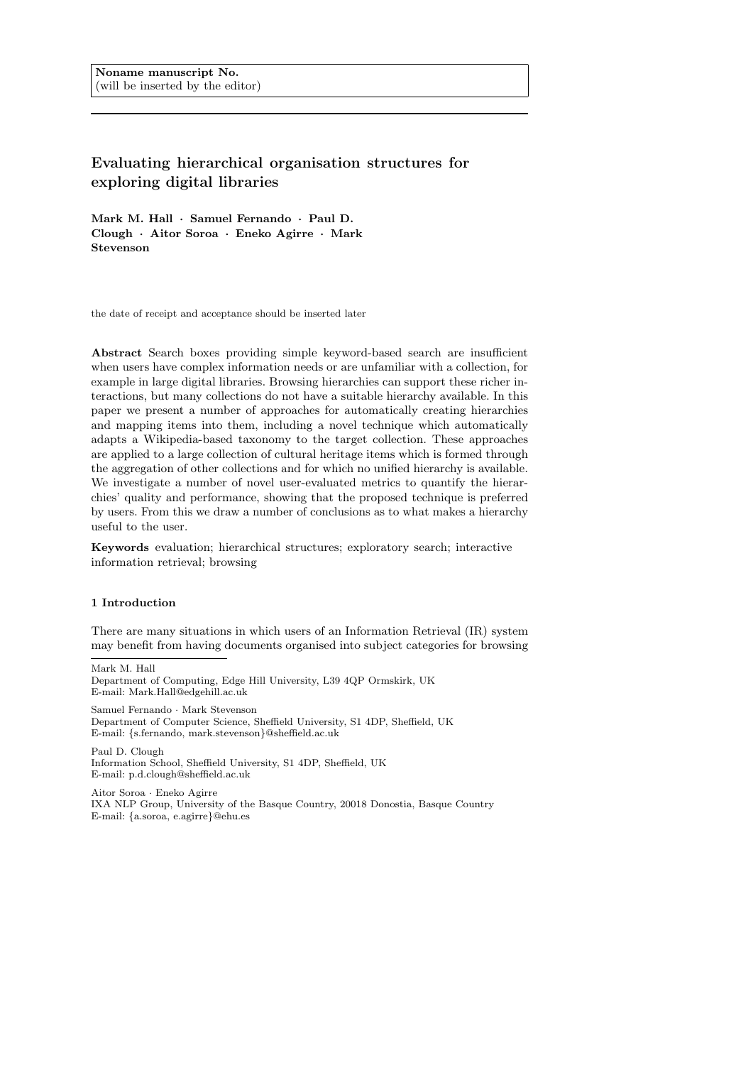# Evaluating hierarchical organisation structures for exploring digital libraries

Mark M. Hall · Samuel Fernando · Paul D. Clough · Aitor Soroa · Eneko Agirre · Mark Stevenson

the date of receipt and acceptance should be inserted later

Abstract Search boxes providing simple keyword-based search are insufficient when users have complex information needs or are unfamiliar with a collection, for example in large digital libraries. Browsing hierarchies can support these richer interactions, but many collections do not have a suitable hierarchy available. In this paper we present a number of approaches for automatically creating hierarchies and mapping items into them, including a novel technique which automatically adapts a Wikipedia-based taxonomy to the target collection. These approaches are applied to a large collection of cultural heritage items which is formed through the aggregation of other collections and for which no unified hierarchy is available. We investigate a number of novel user-evaluated metrics to quantify the hierarchies' quality and performance, showing that the proposed technique is preferred by users. From this we draw a number of conclusions as to what makes a hierarchy useful to the user.

Keywords evaluation; hierarchical structures; exploratory search; interactive information retrieval; browsing

#### 1 Introduction

There are many situations in which users of an Information Retrieval (IR) system may benefit from having documents organised into subject categories for browsing

Mark M. Hall Department of Computing, Edge Hill University, L39 4QP Ormskirk, UK E-mail: Mark.Hall@edgehill.ac.uk

Samuel Fernando · Mark Stevenson Department of Computer Science, Sheffield University, S1 4DP, Sheffield, UK E-mail: {s.fernando, mark.stevenson}@sheffield.ac.uk

Paul D. Clough Information School, Sheffield University, S1 4DP, Sheffield, UK E-mail: p.d.clough@sheffield.ac.uk

Aitor Soroa · Eneko Agirre IXA NLP Group, University of the Basque Country, 20018 Donostia, Basque Country E-mail: {a.soroa, e.agirre}@ehu.es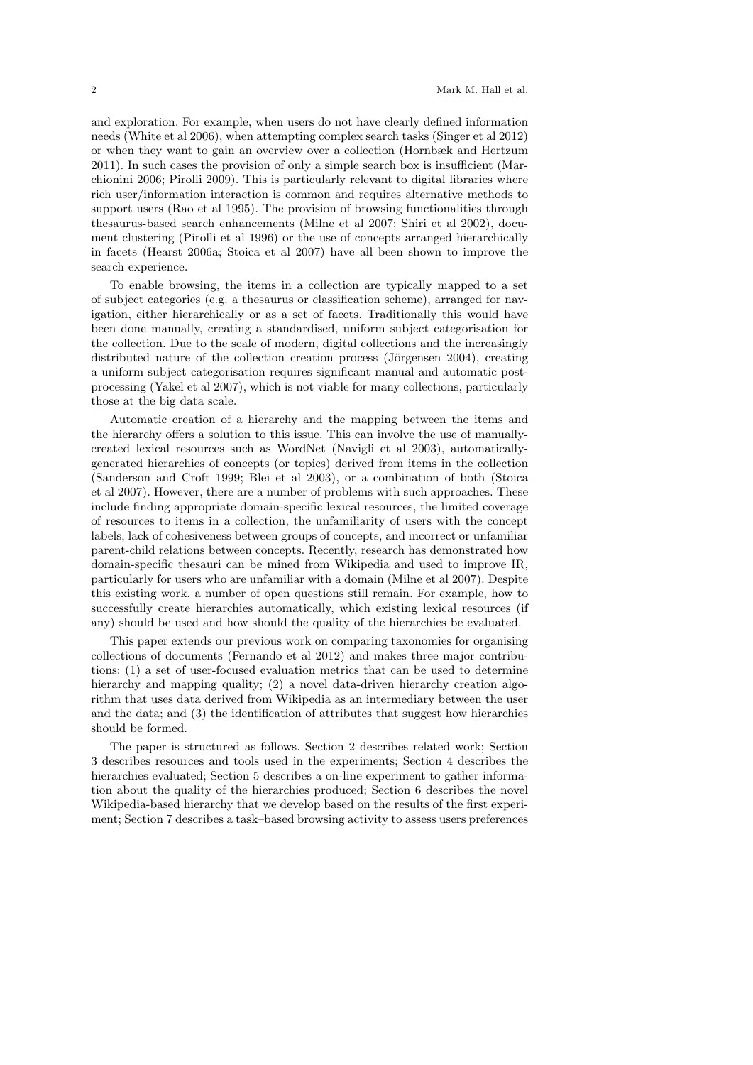and exploration. For example, when users do not have clearly defined information needs (White et al 2006), when attempting complex search tasks (Singer et al 2012) or when they want to gain an overview over a collection (Hornbæk and Hertzum 2011). In such cases the provision of only a simple search box is insufficient (Marchionini 2006; Pirolli 2009). This is particularly relevant to digital libraries where rich user/information interaction is common and requires alternative methods to support users (Rao et al 1995). The provision of browsing functionalities through thesaurus-based search enhancements (Milne et al 2007; Shiri et al 2002), document clustering (Pirolli et al 1996) or the use of concepts arranged hierarchically in facets (Hearst 2006a; Stoica et al 2007) have all been shown to improve the search experience.

To enable browsing, the items in a collection are typically mapped to a set of subject categories (e.g. a thesaurus or classification scheme), arranged for navigation, either hierarchically or as a set of facets. Traditionally this would have been done manually, creating a standardised, uniform subject categorisation for the collection. Due to the scale of modern, digital collections and the increasingly distributed nature of the collection creation process (Jörgensen 2004), creating a uniform subject categorisation requires significant manual and automatic postprocessing (Yakel et al 2007), which is not viable for many collections, particularly those at the big data scale.

Automatic creation of a hierarchy and the mapping between the items and the hierarchy offers a solution to this issue. This can involve the use of manuallycreated lexical resources such as WordNet (Navigli et al 2003), automaticallygenerated hierarchies of concepts (or topics) derived from items in the collection (Sanderson and Croft 1999; Blei et al 2003), or a combination of both (Stoica et al 2007). However, there are a number of problems with such approaches. These include finding appropriate domain-specific lexical resources, the limited coverage of resources to items in a collection, the unfamiliarity of users with the concept labels, lack of cohesiveness between groups of concepts, and incorrect or unfamiliar parent-child relations between concepts. Recently, research has demonstrated how domain-specific thesauri can be mined from Wikipedia and used to improve IR, particularly for users who are unfamiliar with a domain (Milne et al 2007). Despite this existing work, a number of open questions still remain. For example, how to successfully create hierarchies automatically, which existing lexical resources (if any) should be used and how should the quality of the hierarchies be evaluated.

This paper extends our previous work on comparing taxonomies for organising collections of documents (Fernando et al 2012) and makes three major contributions: (1) a set of user-focused evaluation metrics that can be used to determine hierarchy and mapping quality; (2) a novel data-driven hierarchy creation algorithm that uses data derived from Wikipedia as an intermediary between the user and the data; and (3) the identification of attributes that suggest how hierarchies should be formed.

The paper is structured as follows. Section 2 describes related work; Section 3 describes resources and tools used in the experiments; Section 4 describes the hierarchies evaluated; Section 5 describes a on-line experiment to gather information about the quality of the hierarchies produced; Section 6 describes the novel Wikipedia-based hierarchy that we develop based on the results of the first experiment; Section 7 describes a task–based browsing activity to assess users preferences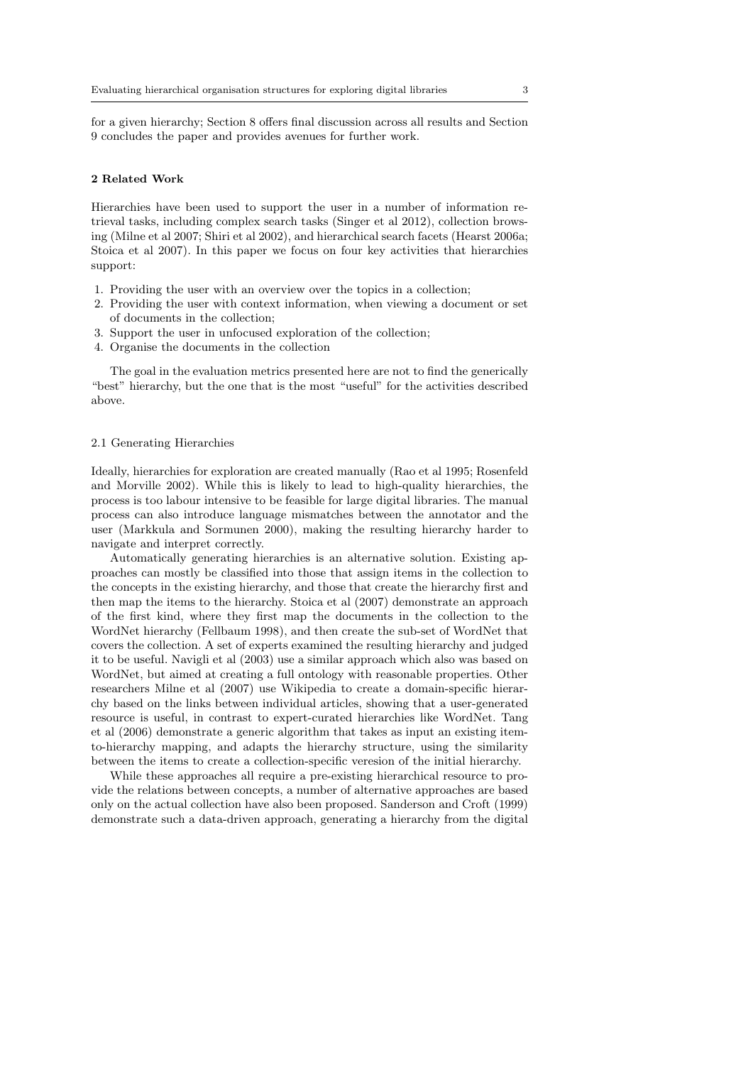for a given hierarchy; Section 8 offers final discussion across all results and Section 9 concludes the paper and provides avenues for further work.

#### 2 Related Work

Hierarchies have been used to support the user in a number of information retrieval tasks, including complex search tasks (Singer et al 2012), collection browsing (Milne et al 2007; Shiri et al 2002), and hierarchical search facets (Hearst 2006a; Stoica et al 2007). In this paper we focus on four key activities that hierarchies support:

- 1. Providing the user with an overview over the topics in a collection;
- 2. Providing the user with context information, when viewing a document or set of documents in the collection;
- 3. Support the user in unfocused exploration of the collection;
- 4. Organise the documents in the collection

The goal in the evaluation metrics presented here are not to find the generically "best" hierarchy, but the one that is the most "useful" for the activities described above.

#### 2.1 Generating Hierarchies

Ideally, hierarchies for exploration are created manually (Rao et al 1995; Rosenfeld and Morville 2002). While this is likely to lead to high-quality hierarchies, the process is too labour intensive to be feasible for large digital libraries. The manual process can also introduce language mismatches between the annotator and the user (Markkula and Sormunen 2000), making the resulting hierarchy harder to navigate and interpret correctly.

Automatically generating hierarchies is an alternative solution. Existing approaches can mostly be classified into those that assign items in the collection to the concepts in the existing hierarchy, and those that create the hierarchy first and then map the items to the hierarchy. Stoica et al (2007) demonstrate an approach of the first kind, where they first map the documents in the collection to the WordNet hierarchy (Fellbaum 1998), and then create the sub-set of WordNet that covers the collection. A set of experts examined the resulting hierarchy and judged it to be useful. Navigli et al (2003) use a similar approach which also was based on WordNet, but aimed at creating a full ontology with reasonable properties. Other researchers Milne et al (2007) use Wikipedia to create a domain-specific hierarchy based on the links between individual articles, showing that a user-generated resource is useful, in contrast to expert-curated hierarchies like WordNet. Tang et al (2006) demonstrate a generic algorithm that takes as input an existing itemto-hierarchy mapping, and adapts the hierarchy structure, using the similarity between the items to create a collection-specific veresion of the initial hierarchy.

While these approaches all require a pre-existing hierarchical resource to provide the relations between concepts, a number of alternative approaches are based only on the actual collection have also been proposed. Sanderson and Croft (1999) demonstrate such a data-driven approach, generating a hierarchy from the digital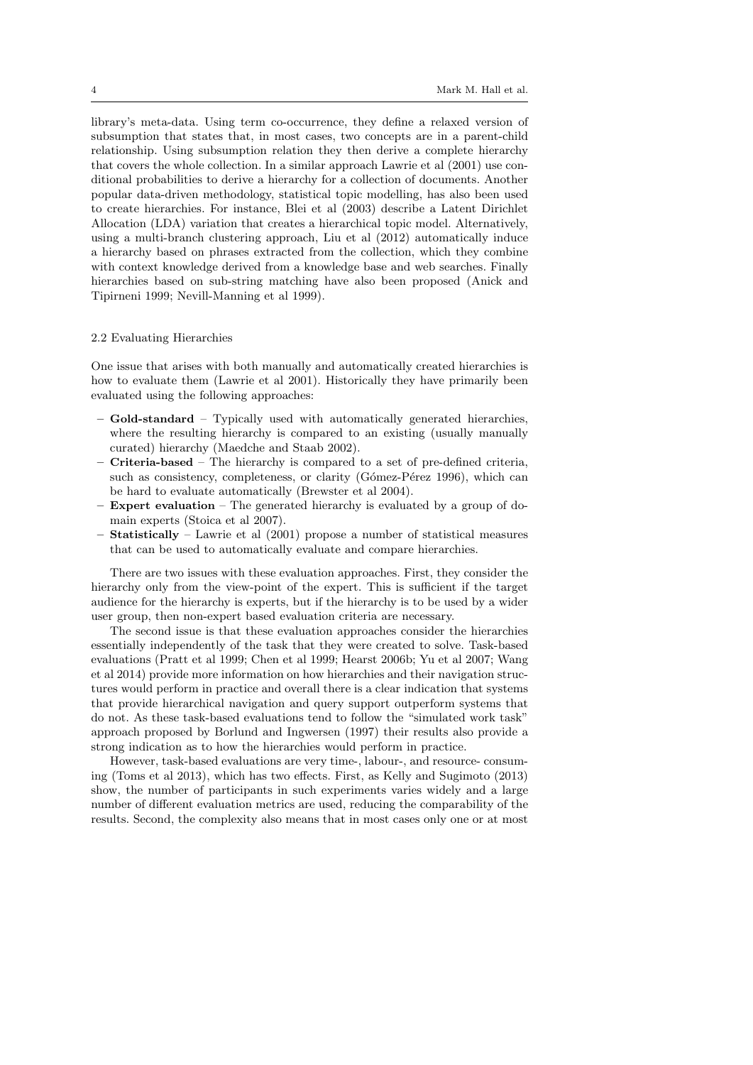library's meta-data. Using term co-occurrence, they define a relaxed version of subsumption that states that, in most cases, two concepts are in a parent-child relationship. Using subsumption relation they then derive a complete hierarchy that covers the whole collection. In a similar approach Lawrie et al (2001) use conditional probabilities to derive a hierarchy for a collection of documents. Another popular data-driven methodology, statistical topic modelling, has also been used to create hierarchies. For instance, Blei et al (2003) describe a Latent Dirichlet Allocation (LDA) variation that creates a hierarchical topic model. Alternatively, using a multi-branch clustering approach, Liu et al (2012) automatically induce a hierarchy based on phrases extracted from the collection, which they combine with context knowledge derived from a knowledge base and web searches. Finally hierarchies based on sub-string matching have also been proposed (Anick and Tipirneni 1999; Nevill-Manning et al 1999).

### 2.2 Evaluating Hierarchies

One issue that arises with both manually and automatically created hierarchies is how to evaluate them (Lawrie et al 2001). Historically they have primarily been evaluated using the following approaches:

- Gold-standard Typically used with automatically generated hierarchies, where the resulting hierarchy is compared to an existing (usually manually curated) hierarchy (Maedche and Staab 2002).
- Criteria-based The hierarchy is compared to a set of pre-defined criteria, such as consistency, completeness, or clarity (Gómez-Pérez 1996), which can be hard to evaluate automatically (Brewster et al 2004).
- $-$  Expert evaluation The generated hierarchy is evaluated by a group of domain experts (Stoica et al 2007).
- Statistically Lawrie et al (2001) propose a number of statistical measures that can be used to automatically evaluate and compare hierarchies.

There are two issues with these evaluation approaches. First, they consider the hierarchy only from the view-point of the expert. This is sufficient if the target audience for the hierarchy is experts, but if the hierarchy is to be used by a wider user group, then non-expert based evaluation criteria are necessary.

The second issue is that these evaluation approaches consider the hierarchies essentially independently of the task that they were created to solve. Task-based evaluations (Pratt et al 1999; Chen et al 1999; Hearst 2006b; Yu et al 2007; Wang et al 2014) provide more information on how hierarchies and their navigation structures would perform in practice and overall there is a clear indication that systems that provide hierarchical navigation and query support outperform systems that do not. As these task-based evaluations tend to follow the "simulated work task" approach proposed by Borlund and Ingwersen (1997) their results also provide a strong indication as to how the hierarchies would perform in practice.

However, task-based evaluations are very time-, labour-, and resource- consuming (Toms et al 2013), which has two effects. First, as Kelly and Sugimoto (2013) show, the number of participants in such experiments varies widely and a large number of different evaluation metrics are used, reducing the comparability of the results. Second, the complexity also means that in most cases only one or at most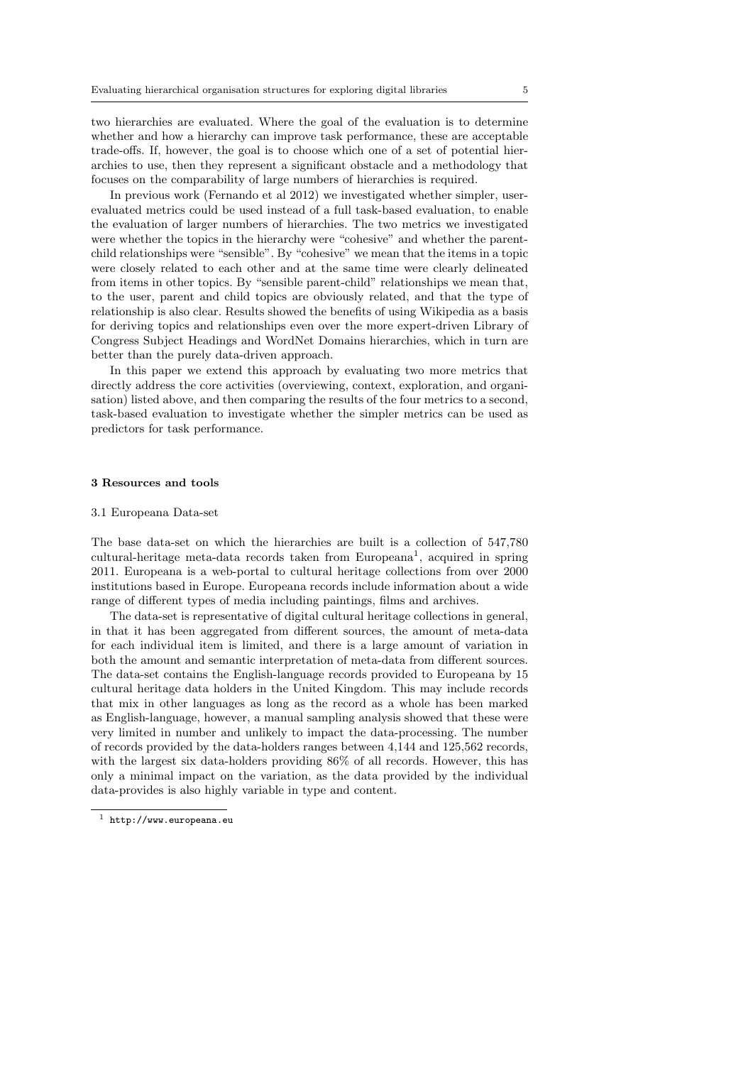two hierarchies are evaluated. Where the goal of the evaluation is to determine whether and how a hierarchy can improve task performance, these are acceptable trade-offs. If, however, the goal is to choose which one of a set of potential hierarchies to use, then they represent a significant obstacle and a methodology that focuses on the comparability of large numbers of hierarchies is required.

In previous work (Fernando et al 2012) we investigated whether simpler, userevaluated metrics could be used instead of a full task-based evaluation, to enable the evaluation of larger numbers of hierarchies. The two metrics we investigated were whether the topics in the hierarchy were "cohesive" and whether the parentchild relationships were "sensible". By "cohesive" we mean that the items in a topic were closely related to each other and at the same time were clearly delineated from items in other topics. By "sensible parent-child" relationships we mean that, to the user, parent and child topics are obviously related, and that the type of relationship is also clear. Results showed the benefits of using Wikipedia as a basis for deriving topics and relationships even over the more expert-driven Library of Congress Subject Headings and WordNet Domains hierarchies, which in turn are better than the purely data-driven approach.

In this paper we extend this approach by evaluating two more metrics that directly address the core activities (overviewing, context, exploration, and organisation) listed above, and then comparing the results of the four metrics to a second, task-based evaluation to investigate whether the simpler metrics can be used as predictors for task performance.

### 3 Resources and tools

### 3.1 Europeana Data-set

The base data-set on which the hierarchies are built is a collection of 547,780 cultural-heritage meta-data records taken from Europeana<sup>1</sup>, acquired in spring 2011. Europeana is a web-portal to cultural heritage collections from over 2000 institutions based in Europe. Europeana records include information about a wide range of different types of media including paintings, films and archives.

The data-set is representative of digital cultural heritage collections in general, in that it has been aggregated from different sources, the amount of meta-data for each individual item is limited, and there is a large amount of variation in both the amount and semantic interpretation of meta-data from different sources. The data-set contains the English-language records provided to Europeana by 15 cultural heritage data holders in the United Kingdom. This may include records that mix in other languages as long as the record as a whole has been marked as English-language, however, a manual sampling analysis showed that these were very limited in number and unlikely to impact the data-processing. The number of records provided by the data-holders ranges between 4,144 and 125,562 records, with the largest six data-holders providing 86% of all records. However, this has only a minimal impact on the variation, as the data provided by the individual data-provides is also highly variable in type and content.

 $^{\rm 1}$ http://www.europeana.eu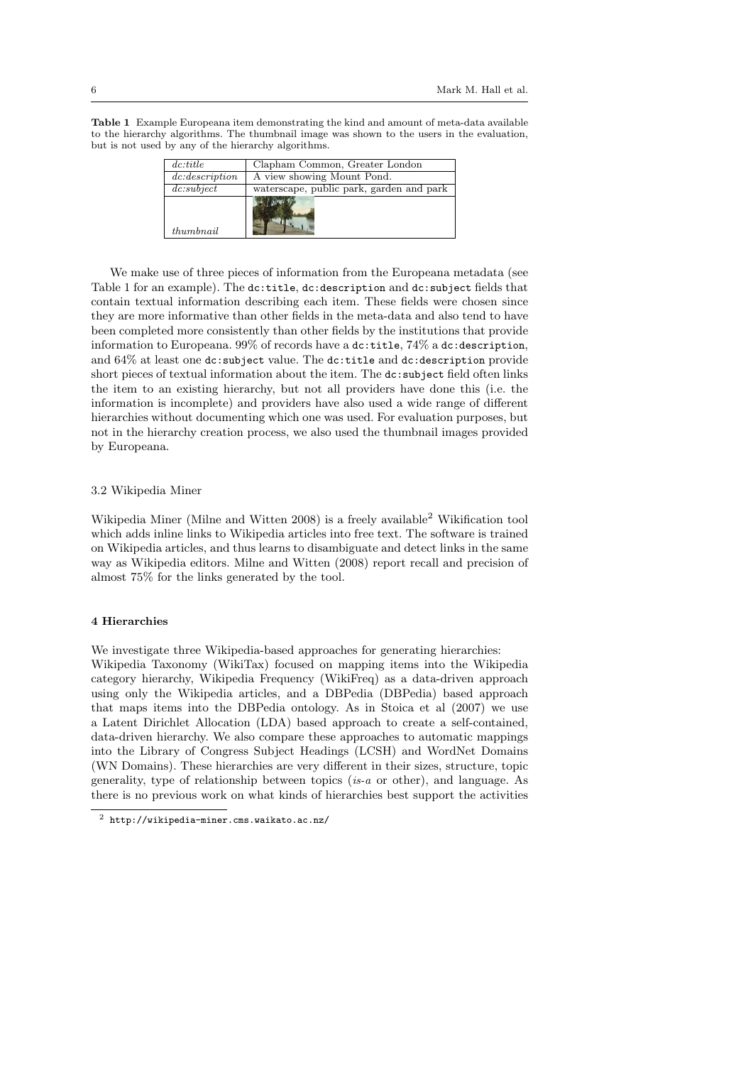Table 1 Example Europeana item demonstrating the kind and amount of meta-data available to the hierarchy algorithms. The thumbnail image was shown to the users in the evaluation, but is not used by any of the hierarchy algorithms.

| dc.title        | Clapham Common, Greater London           |
|-----------------|------------------------------------------|
| dc: description | A view showing Mount Pond.               |
| dc: subject     | waterscape, public park, garden and park |
| thumbnail       |                                          |

We make use of three pieces of information from the Europeana metadata (see Table 1 for an example). The dc:title, dc:description and dc:subject fields that contain textual information describing each item. These fields were chosen since they are more informative than other fields in the meta-data and also tend to have been completed more consistently than other fields by the institutions that provide information to Europeana. 99% of records have a dc:title, 74% a dc:description, and 64% at least one dc:subject value. The dc:title and dc:description provide short pieces of textual information about the item. The dc:subject field often links the item to an existing hierarchy, but not all providers have done this (i.e. the information is incomplete) and providers have also used a wide range of different hierarchies without documenting which one was used. For evaluation purposes, but not in the hierarchy creation process, we also used the thumbnail images provided by Europeana.

# 3.2 Wikipedia Miner

Wikipedia Miner (Milne and Witten 2008) is a freely available<sup>2</sup> Wikification tool which adds inline links to Wikipedia articles into free text. The software is trained on Wikipedia articles, and thus learns to disambiguate and detect links in the same way as Wikipedia editors. Milne and Witten (2008) report recall and precision of almost 75% for the links generated by the tool.

# 4 Hierarchies

We investigate three Wikipedia-based approaches for generating hierarchies: Wikipedia Taxonomy (WikiTax) focused on mapping items into the Wikipedia category hierarchy, Wikipedia Frequency (WikiFreq) as a data-driven approach using only the Wikipedia articles, and a DBPedia (DBPedia) based approach that maps items into the DBPedia ontology. As in Stoica et al (2007) we use a Latent Dirichlet Allocation (LDA) based approach to create a self-contained, data-driven hierarchy. We also compare these approaches to automatic mappings into the Library of Congress Subject Headings (LCSH) and WordNet Domains (WN Domains). These hierarchies are very different in their sizes, structure, topic generality, type of relationship between topics (is-a or other), and language. As there is no previous work on what kinds of hierarchies best support the activities

<sup>2</sup> http://wikipedia-miner.cms.waikato.ac.nz/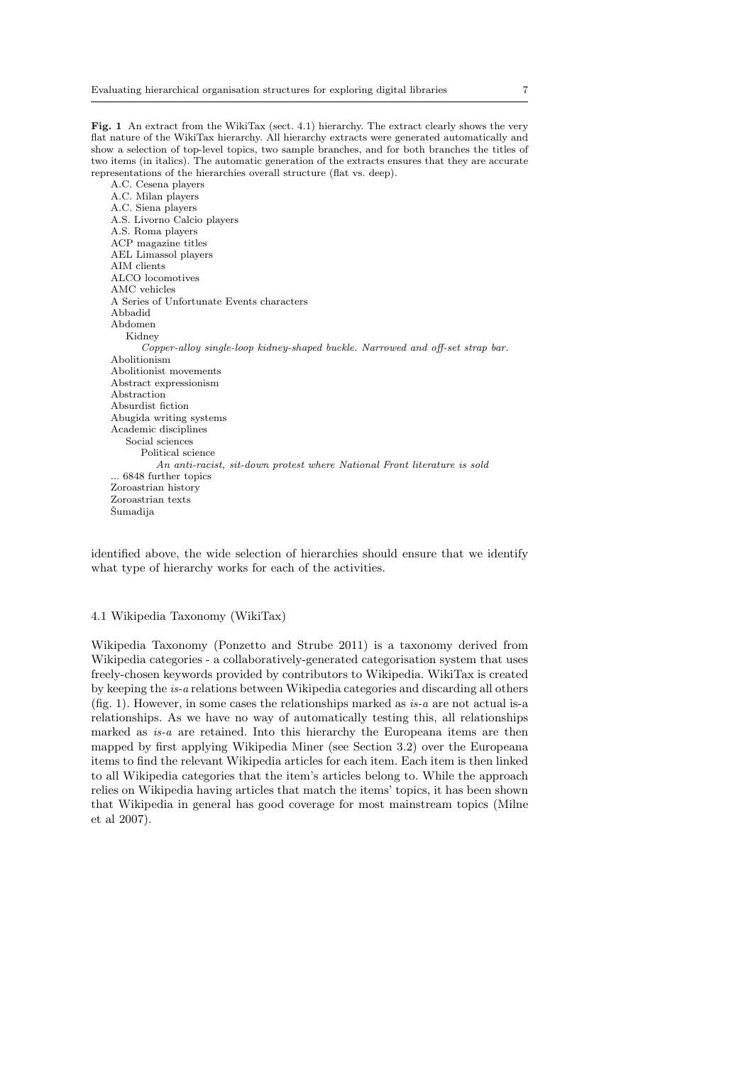Fig. 1 An extract from the WikiTax (sect. 4.1) hierarchy. The extract clearly shows the very flat nature of the WikiTax hierarchy. All hierarchy extracts were generated automatically and show a selection of top-level topics, two sample branches, and for both branches the titles of two items (in italics). The automatic generation of the extracts ensures that they are accurate representations of the hierarchies overall structure (flat vs. deep).

A.C. Cesena players A.C. Milan players A.C. Siena players A.S. Livorno Calcio players A.S. Roma players ACP magazine titles AEL Limassol players AIM clients ALCO locomotives AMC vehicles A Series of Unfortunate Events characters Abbadid Abdomen Kidney Copper-alloy single-loop kidney-shaped buckle. Narrowed and off-set strap bar. Abolitionism Abolitionist movements Abstract expressionism Abstraction Absurdist fiction Abugida writing systems Academic disciplines Social sciences Political science An anti-racist, sit-down protest where National Front literature is sold ... 6848 further topics Zoroastrian history Zoroastrian texts Šumadija

identified above, the wide selection of hierarchies should ensure that we identify what type of hierarchy works for each of the activities.

### 4.1 Wikipedia Taxonomy (WikiTax)

Wikipedia Taxonomy (Ponzetto and Strube 2011) is a taxonomy derived from Wikipedia categories - a collaboratively-generated categorisation system that uses freely-chosen keywords provided by contributors to Wikipedia. WikiTax is created by keeping the is-a relations between Wikipedia categories and discarding all others (fig. 1). However, in some cases the relationships marked as is-a are not actual is-a relationships. As we have no way of automatically testing this, all relationships marked as is-a are retained. Into this hierarchy the Europeana items are then mapped by first applying Wikipedia Miner (see Section 3.2) over the Europeana items to find the relevant Wikipedia articles for each item. Each item is then linked to all Wikipedia categories that the item's articles belong to. While the approach relies on Wikipedia having articles that match the items' topics, it has been shown that Wikipedia in general has good coverage for most mainstream topics (Milne et al 2007).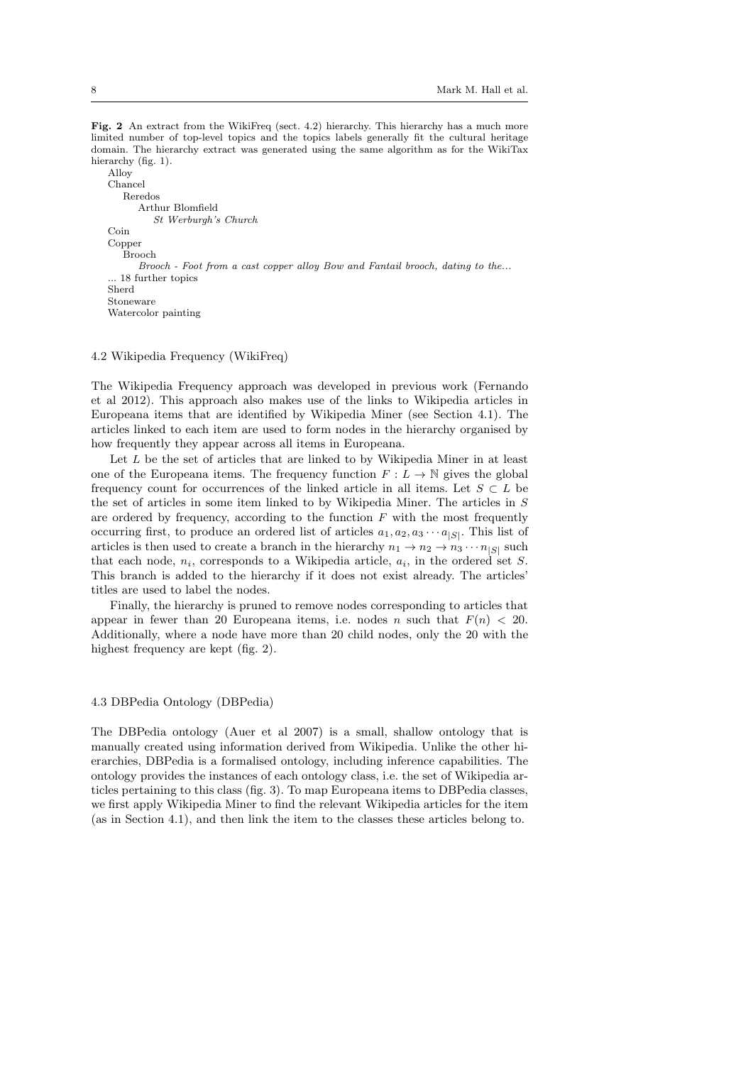Fig. 2 An extract from the WikiFreq (sect. 4.2) hierarchy. This hierarchy has a much more limited number of top-level topics and the topics labels generally fit the cultural heritage domain. The hierarchy extract was generated using the same algorithm as for the WikiTax hierarchy (fig. 1).

```
Alloy
Chancel
   Reredos
      Arthur Blomfield
         St Werburgh's Church
Coin
Copper
   Brooch
      Brooch - Foot from a cast copper alloy Bow and Fantail brooch, dating to the...
... 18 further topics
Sherd
Stoneware
Watercolor painting
```
#### 4.2 Wikipedia Frequency (WikiFreq)

The Wikipedia Frequency approach was developed in previous work (Fernando et al 2012). This approach also makes use of the links to Wikipedia articles in Europeana items that are identified by Wikipedia Miner (see Section 4.1). The articles linked to each item are used to form nodes in the hierarchy organised by how frequently they appear across all items in Europeana.

Let  $L$  be the set of articles that are linked to by Wikipedia Miner in at least one of the Europeana items. The frequency function  $F: L \to \mathbb{N}$  gives the global frequency count for occurrences of the linked article in all items. Let  $S \subset L$  be the set of articles in some item linked to by Wikipedia Miner. The articles in S are ordered by frequency, according to the function  $F$  with the most frequently occurring first, to produce an ordered list of articles  $a_1, a_2, a_3 \cdots a_{|S|}$ . This list of articles is then used to create a branch in the hierarchy  $n_1 \rightarrow n_2 \rightarrow n_3 \cdots n_{|S|}$  such that each node,  $n_i$ , corresponds to a Wikipedia article,  $a_i$ , in the ordered set S. This branch is added to the hierarchy if it does not exist already. The articles' titles are used to label the nodes.

Finally, the hierarchy is pruned to remove nodes corresponding to articles that appear in fewer than 20 Europeana items, i.e. nodes n such that  $F(n) < 20$ . Additionally, where a node have more than 20 child nodes, only the 20 with the highest frequency are kept (fig. 2).

# 4.3 DBPedia Ontology (DBPedia)

The DBPedia ontology (Auer et al 2007) is a small, shallow ontology that is manually created using information derived from Wikipedia. Unlike the other hierarchies, DBPedia is a formalised ontology, including inference capabilities. The ontology provides the instances of each ontology class, i.e. the set of Wikipedia articles pertaining to this class (fig. 3). To map Europeana items to DBPedia classes, we first apply Wikipedia Miner to find the relevant Wikipedia articles for the item (as in Section 4.1), and then link the item to the classes these articles belong to.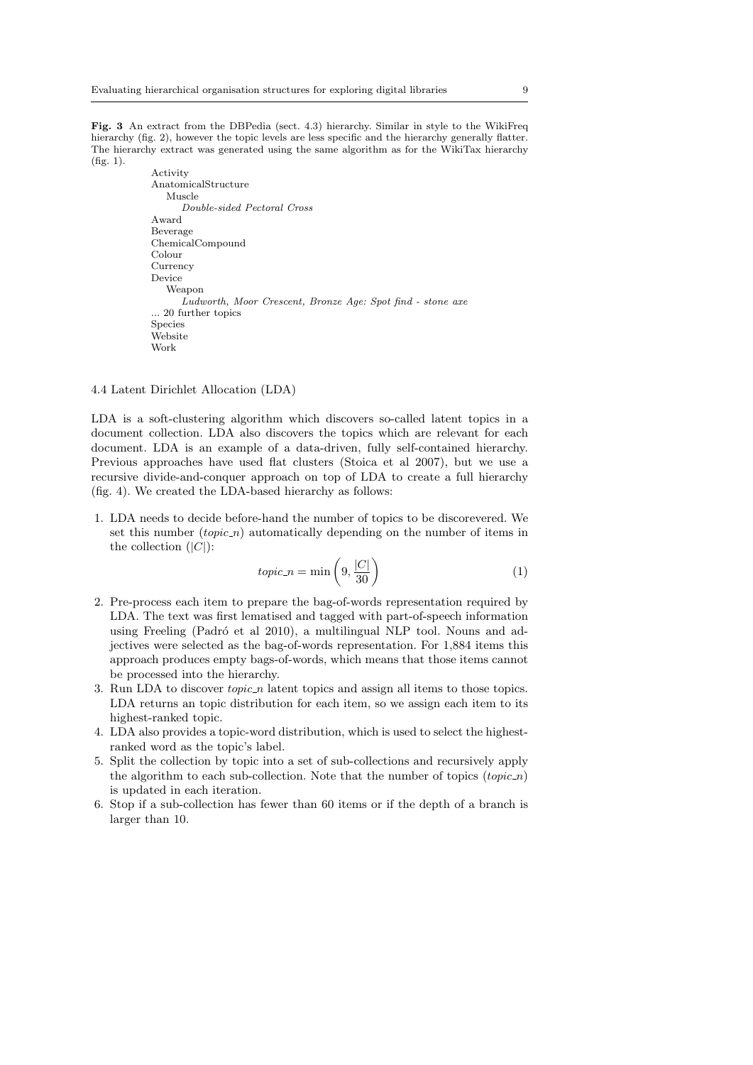Fig. 3 An extract from the DBPedia (sect. 4.3) hierarchy. Similar in style to the WikiFreq hierarchy (fig. 2), however the topic levels are less specific and the hierarchy generally flatter. The hierarchy extract was generated using the same algorithm as for the WikiTax hierarchy (fig. 1).

```
Activity
AnatomicalStructure
  Muscle
      Double-sided Pectoral Cross
Award
Beverage
ChemicalCompound
Colour
Currency
Device
   Weapon
      Ludworth, Moor Crescent, Bronze Age: Spot find - stone axe
... 20 further topics
Species
Website
Work
```
4.4 Latent Dirichlet Allocation (LDA)

LDA is a soft-clustering algorithm which discovers so-called latent topics in a document collection. LDA also discovers the topics which are relevant for each document. LDA is an example of a data-driven, fully self-contained hierarchy. Previous approaches have used flat clusters (Stoica et al 2007), but we use a recursive divide-and-conquer approach on top of LDA to create a full hierarchy (fig. 4). We created the LDA-based hierarchy as follows:

1. LDA needs to decide before-hand the number of topics to be discorevered. We set this number  $(topic<sub>-</sub>n)$  automatically depending on the number of items in the collection  $(|C|)$ :

$$
topic_n = \min\left(9, \frac{|C|}{30}\right) \tag{1}
$$

- 2. Pre-process each item to prepare the bag-of-words representation required by LDA. The text was first lematised and tagged with part-of-speech information using Freeling (Padró et al 2010), a multilingual NLP tool. Nouns and adjectives were selected as the bag-of-words representation. For 1,884 items this approach produces empty bags-of-words, which means that those items cannot be processed into the hierarchy.
- 3. Run LDA to discover *topic\_n* latent topics and assign all items to those topics. LDA returns an topic distribution for each item, so we assign each item to its highest-ranked topic.
- 4. LDA also provides a topic-word distribution, which is used to select the highestranked word as the topic's label.
- 5. Split the collection by topic into a set of sub-collections and recursively apply the algorithm to each sub-collection. Note that the number of topics  $(topic_n)$ is updated in each iteration.
- 6. Stop if a sub-collection has fewer than 60 items or if the depth of a branch is larger than 10.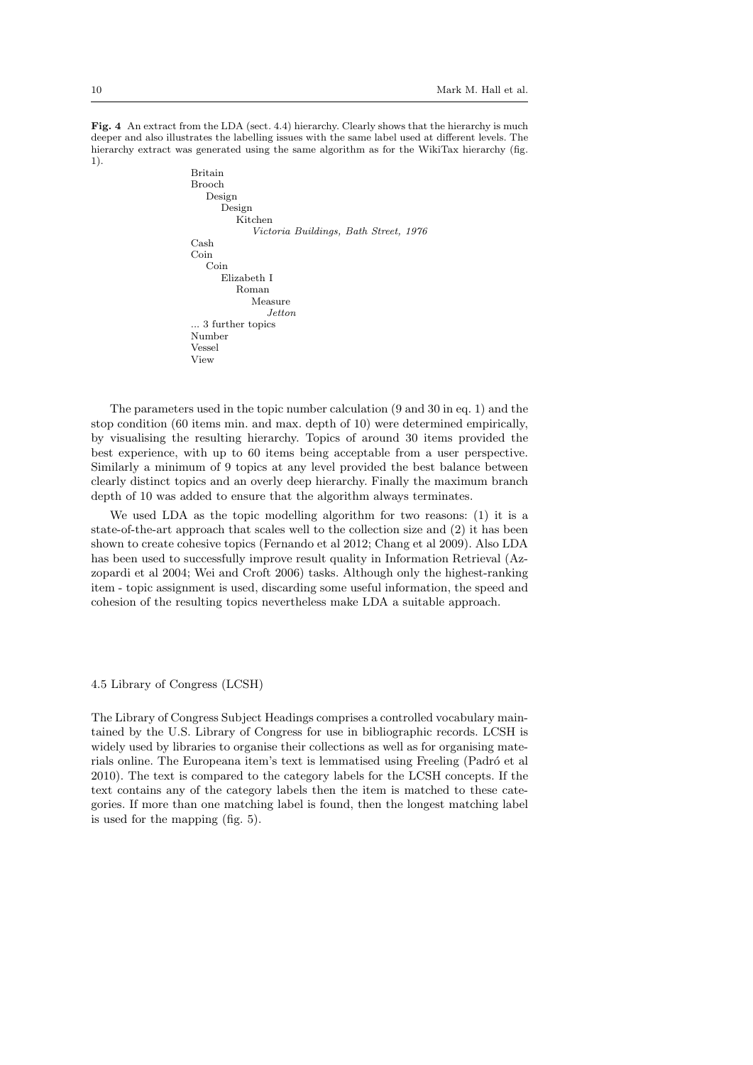Fig. 4 An extract from the LDA (sect. 4.4) hierarchy. Clearly shows that the hierarchy is much deeper and also illustrates the labelling issues with the same label used at different levels. The hierarchy extract was generated using the same algorithm as for the WikiTax hierarchy (fig. 1).

```
Britain
Brooch
   Design
      Design
         Kitchen
             Victoria Buildings, Bath Street, 1976
Cash
Coin
   Coin
      Elizabeth I
         Roman
             Measure
                Jetton
 ... 3 further topics
Number
Vessel
View
```
The parameters used in the topic number calculation (9 and 30 in eq. 1) and the stop condition (60 items min. and max. depth of 10) were determined empirically, by visualising the resulting hierarchy. Topics of around 30 items provided the best experience, with up to 60 items being acceptable from a user perspective. Similarly a minimum of 9 topics at any level provided the best balance between clearly distinct topics and an overly deep hierarchy. Finally the maximum branch depth of 10 was added to ensure that the algorithm always terminates.

We used LDA as the topic modelling algorithm for two reasons: (1) it is a state-of-the-art approach that scales well to the collection size and (2) it has been shown to create cohesive topics (Fernando et al 2012; Chang et al 2009). Also LDA has been used to successfully improve result quality in Information Retrieval (Azzopardi et al 2004; Wei and Croft 2006) tasks. Although only the highest-ranking item - topic assignment is used, discarding some useful information, the speed and cohesion of the resulting topics nevertheless make LDA a suitable approach.

# 4.5 Library of Congress (LCSH)

The Library of Congress Subject Headings comprises a controlled vocabulary maintained by the U.S. Library of Congress for use in bibliographic records. LCSH is widely used by libraries to organise their collections as well as for organising materials online. The Europeana item's text is lemmatised using Freeling (Padró et al.) 2010). The text is compared to the category labels for the LCSH concepts. If the text contains any of the category labels then the item is matched to these categories. If more than one matching label is found, then the longest matching label is used for the mapping (fig. 5).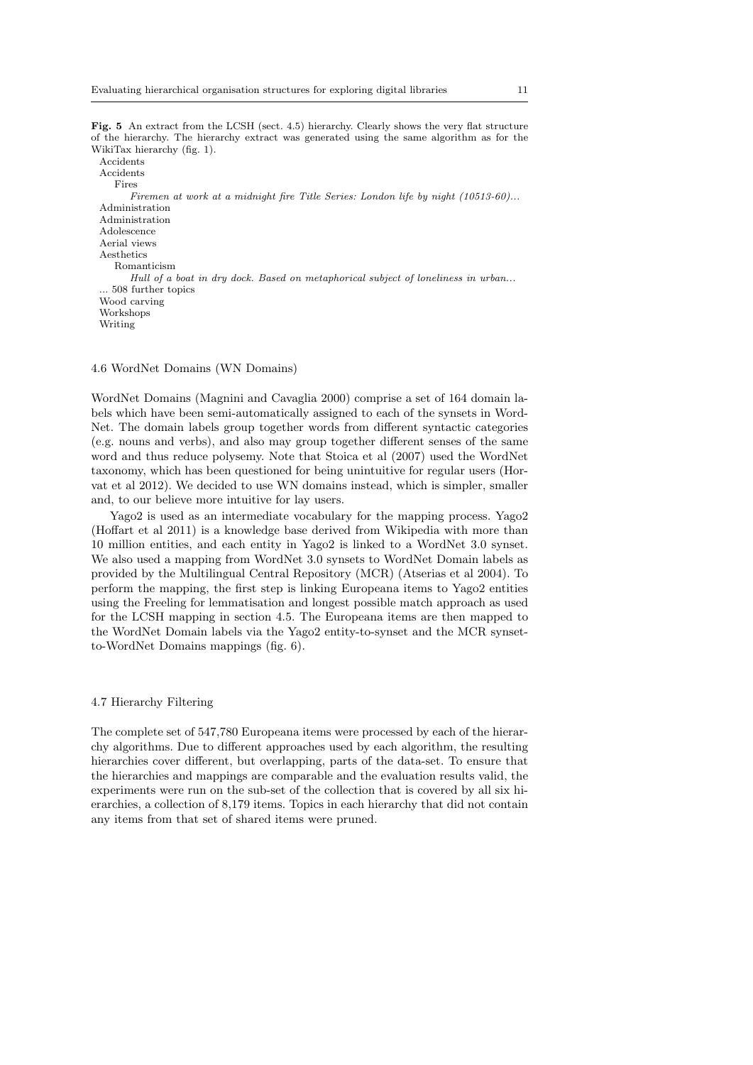Fig. 5 An extract from the LCSH (sect. 4.5) hierarchy. Clearly shows the very flat structure of the hierarchy. The hierarchy extract was generated using the same algorithm as for the WikiTax hierarchy (fig. 1).

Accidents Accidents Fires Firemen at work at a midnight fire Title Series: London life by night (10513-60)... Administration Administration Adolescence Aerial views Aesthetics Romanticism Hull of a boat in dry dock. Based on metaphorical subject of loneliness in urban... 508 further topics Wood carving Workshops Writing

## 4.6 WordNet Domains (WN Domains)

WordNet Domains (Magnini and Cavaglia 2000) comprise a set of 164 domain labels which have been semi-automatically assigned to each of the synsets in Word-Net. The domain labels group together words from different syntactic categories (e.g. nouns and verbs), and also may group together different senses of the same word and thus reduce polysemy. Note that Stoica et al (2007) used the WordNet taxonomy, which has been questioned for being unintuitive for regular users (Horvat et al 2012). We decided to use WN domains instead, which is simpler, smaller and, to our believe more intuitive for lay users.

Yago2 is used as an intermediate vocabulary for the mapping process. Yago2 (Hoffart et al 2011) is a knowledge base derived from Wikipedia with more than 10 million entities, and each entity in Yago2 is linked to a WordNet 3.0 synset. We also used a mapping from WordNet 3.0 synsets to WordNet Domain labels as provided by the Multilingual Central Repository (MCR) (Atserias et al 2004). To perform the mapping, the first step is linking Europeana items to Yago2 entities using the Freeling for lemmatisation and longest possible match approach as used for the LCSH mapping in section 4.5. The Europeana items are then mapped to the WordNet Domain labels via the Yago2 entity-to-synset and the MCR synsetto-WordNet Domains mappings (fig. 6).

### 4.7 Hierarchy Filtering

The complete set of 547,780 Europeana items were processed by each of the hierarchy algorithms. Due to different approaches used by each algorithm, the resulting hierarchies cover different, but overlapping, parts of the data-set. To ensure that the hierarchies and mappings are comparable and the evaluation results valid, the experiments were run on the sub-set of the collection that is covered by all six hierarchies, a collection of 8,179 items. Topics in each hierarchy that did not contain any items from that set of shared items were pruned.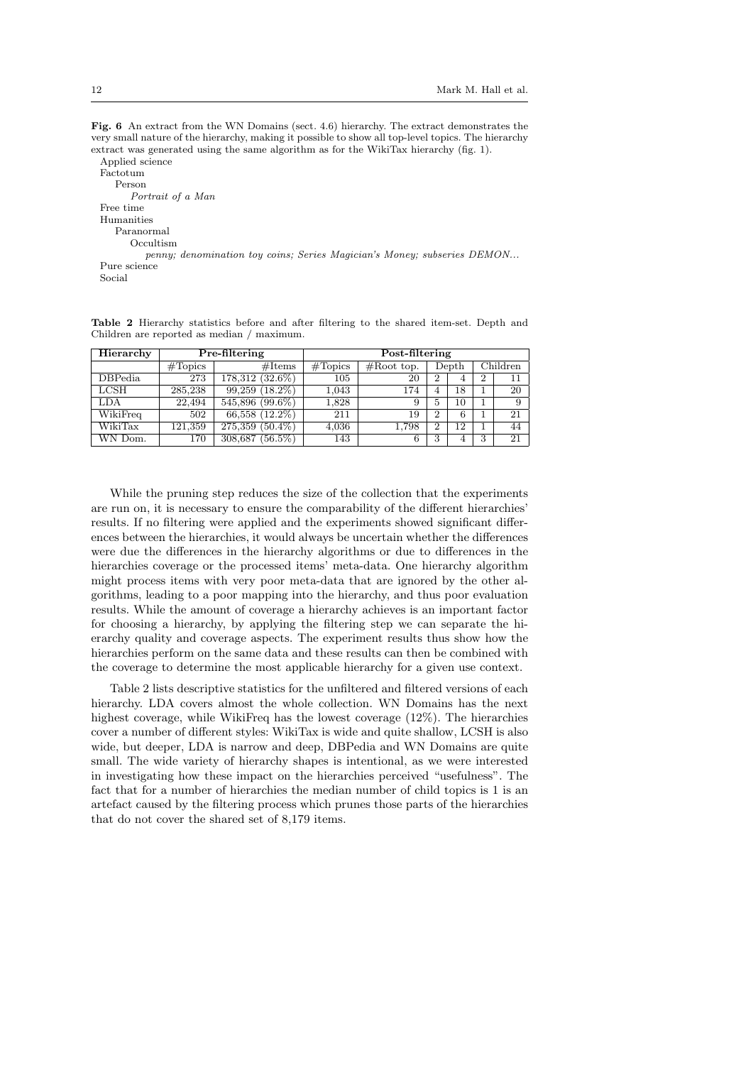Fig. 6 An extract from the WN Domains (sect. 4.6) hierarchy. The extract demonstrates the very small nature of the hierarchy, making it possible to show all top-level topics. The hierarchy extract was generated using the same algorithm as for the WikiTax hierarchy (fig. 1).

| Applied science                                                         |
|-------------------------------------------------------------------------|
| Factotum                                                                |
| Person                                                                  |
| Portrait of a Man                                                       |
| Free time                                                               |
| Humanities                                                              |
| Paranormal                                                              |
| Occultism                                                               |
| penny; denomination toy coins; Series Magician's Money; subseries DEMON |
| Pure science                                                            |
| Social                                                                  |
|                                                                         |

Table 2 Hierarchy statistics before and after filtering to the shared item-set. Depth and Children are reported as median / maximum.

| Hierarchy   |                   | Pre-filtering         | Post-filtering    |                      |   |       |   |          |  |
|-------------|-------------------|-----------------------|-------------------|----------------------|---|-------|---|----------|--|
|             | $\#\text{Topics}$ | $\# \mathsf{Items}$   | $\#\text{Topics}$ | $\#\text{Root top.}$ |   | Depth |   | Children |  |
| DBPedia     | 273               | 178,312 (32.6%)       | 105               | 20                   |   |       |   | 11       |  |
| <b>LCSH</b> | 285,238           | 99,259 (18.2%)        | 1,043             | 174                  |   | 18    |   | 20       |  |
| LDA         | 22.494            | 545,896 (99.6%)       | 1.828             | 9                    |   | 10    |   | 9        |  |
| WikiFreq    | 502               | $66,558$ $(12.2\%)$   | 211               | 19                   | റ | 6     |   | 21       |  |
| WikiTax     | 121,359           | $275,359(50.4\%)$     | 4,036             | 1,798                | റ | 12    |   | 44       |  |
| WN Dom.     | 170               | $(56.5\%)$<br>308,687 | 143               | 6                    |   |       | 3 | 21       |  |

While the pruning step reduces the size of the collection that the experiments are run on, it is necessary to ensure the comparability of the different hierarchies' results. If no filtering were applied and the experiments showed significant differences between the hierarchies, it would always be uncertain whether the differences were due the differences in the hierarchy algorithms or due to differences in the hierarchies coverage or the processed items' meta-data. One hierarchy algorithm might process items with very poor meta-data that are ignored by the other algorithms, leading to a poor mapping into the hierarchy, and thus poor evaluation results. While the amount of coverage a hierarchy achieves is an important factor for choosing a hierarchy, by applying the filtering step we can separate the hierarchy quality and coverage aspects. The experiment results thus show how the hierarchies perform on the same data and these results can then be combined with the coverage to determine the most applicable hierarchy for a given use context.

Table 2 lists descriptive statistics for the unfiltered and filtered versions of each hierarchy. LDA covers almost the whole collection. WN Domains has the next highest coverage, while WikiFreq has the lowest coverage (12%). The hierarchies cover a number of different styles: WikiTax is wide and quite shallow, LCSH is also wide, but deeper, LDA is narrow and deep, DBPedia and WN Domains are quite small. The wide variety of hierarchy shapes is intentional, as we were interested in investigating how these impact on the hierarchies perceived "usefulness". The fact that for a number of hierarchies the median number of child topics is 1 is an artefact caused by the filtering process which prunes those parts of the hierarchies that do not cover the shared set of 8,179 items.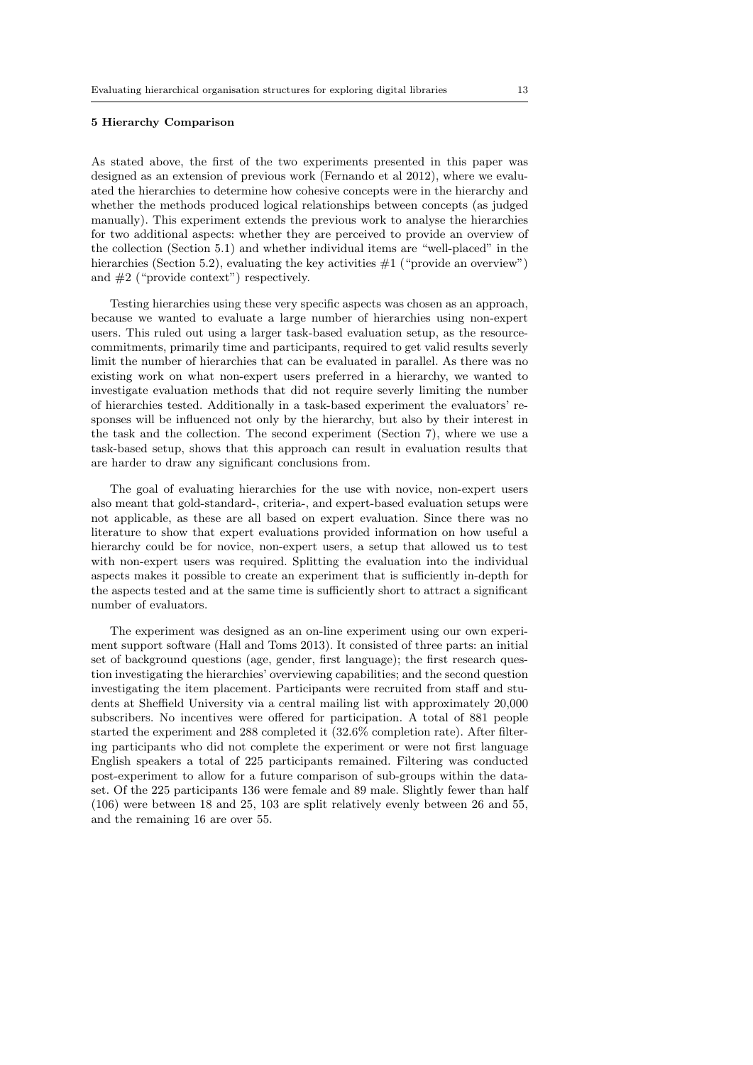#### 5 Hierarchy Comparison

As stated above, the first of the two experiments presented in this paper was designed as an extension of previous work (Fernando et al 2012), where we evaluated the hierarchies to determine how cohesive concepts were in the hierarchy and whether the methods produced logical relationships between concepts (as judged manually). This experiment extends the previous work to analyse the hierarchies for two additional aspects: whether they are perceived to provide an overview of the collection (Section 5.1) and whether individual items are "well-placed" in the hierarchies (Section 5.2), evaluating the key activities  $#1$  ("provide an overview") and #2 ("provide context") respectively.

Testing hierarchies using these very specific aspects was chosen as an approach, because we wanted to evaluate a large number of hierarchies using non-expert users. This ruled out using a larger task-based evaluation setup, as the resourcecommitments, primarily time and participants, required to get valid results severly limit the number of hierarchies that can be evaluated in parallel. As there was no existing work on what non-expert users preferred in a hierarchy, we wanted to investigate evaluation methods that did not require severly limiting the number of hierarchies tested. Additionally in a task-based experiment the evaluators' responses will be influenced not only by the hierarchy, but also by their interest in the task and the collection. The second experiment (Section 7), where we use a task-based setup, shows that this approach can result in evaluation results that are harder to draw any significant conclusions from.

The goal of evaluating hierarchies for the use with novice, non-expert users also meant that gold-standard-, criteria-, and expert-based evaluation setups were not applicable, as these are all based on expert evaluation. Since there was no literature to show that expert evaluations provided information on how useful a hierarchy could be for novice, non-expert users, a setup that allowed us to test with non-expert users was required. Splitting the evaluation into the individual aspects makes it possible to create an experiment that is sufficiently in-depth for the aspects tested and at the same time is sufficiently short to attract a significant number of evaluators.

The experiment was designed as an on-line experiment using our own experiment support software (Hall and Toms 2013). It consisted of three parts: an initial set of background questions (age, gender, first language); the first research question investigating the hierarchies' overviewing capabilities; and the second question investigating the item placement. Participants were recruited from staff and students at Sheffield University via a central mailing list with approximately 20,000 subscribers. No incentives were offered for participation. A total of 881 people started the experiment and 288 completed it (32.6% completion rate). After filtering participants who did not complete the experiment or were not first language English speakers a total of 225 participants remained. Filtering was conducted post-experiment to allow for a future comparison of sub-groups within the dataset. Of the 225 participants 136 were female and 89 male. Slightly fewer than half (106) were between 18 and 25, 103 are split relatively evenly between 26 and 55, and the remaining 16 are over 55.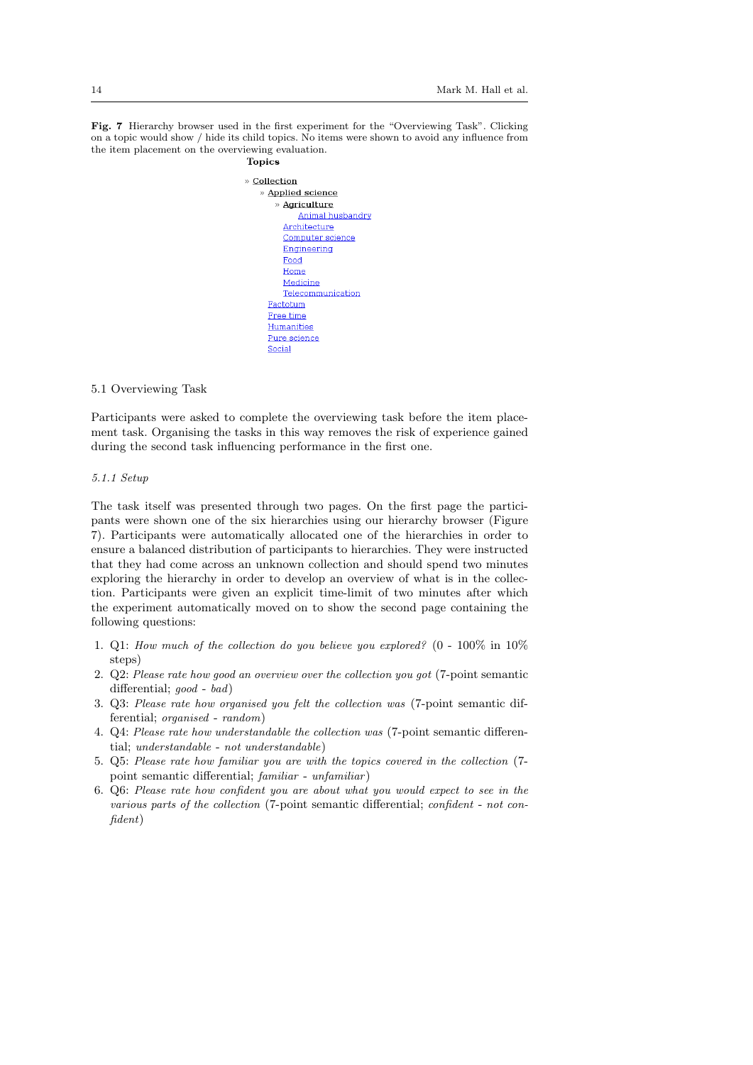Fig. 7 Hierarchy browser used in the first experiment for the "Overviewing Task". Clicking on a topic would show / hide its child topics. No items were shown to avoid any influence from the item placement on the overviewing evaluation.



#### 5.1 Overviewing Task

Participants were asked to complete the overviewing task before the item placement task. Organising the tasks in this way removes the risk of experience gained during the second task influencing performance in the first one.

#### 5.1.1 Setup

The task itself was presented through two pages. On the first page the participants were shown one of the six hierarchies using our hierarchy browser (Figure 7). Participants were automatically allocated one of the hierarchies in order to ensure a balanced distribution of participants to hierarchies. They were instructed that they had come across an unknown collection and should spend two minutes exploring the hierarchy in order to develop an overview of what is in the collection. Participants were given an explicit time-limit of two minutes after which the experiment automatically moved on to show the second page containing the following questions:

- 1. Q1: How much of the collection do you believe you explored?  $(0 100\% \text{ in } 10\%$ steps)
- 2. Q2: Please rate how good an overview over the collection you got (7-point semantic differential; *good* - bad)
- 3. Q3: Please rate how organised you felt the collection was (7-point semantic differential; organised - random)
- 4. Q4: Please rate how understandable the collection was (7-point semantic differential; understandable - not understandable)
- 5. Q5: Please rate how familiar you are with the topics covered in the collection (7 point semantic differential; familiar - unfamiliar)
- 6. Q6: Please rate how confident you are about what you would expect to see in the various parts of the collection (7-point semantic differential; confident - not confident)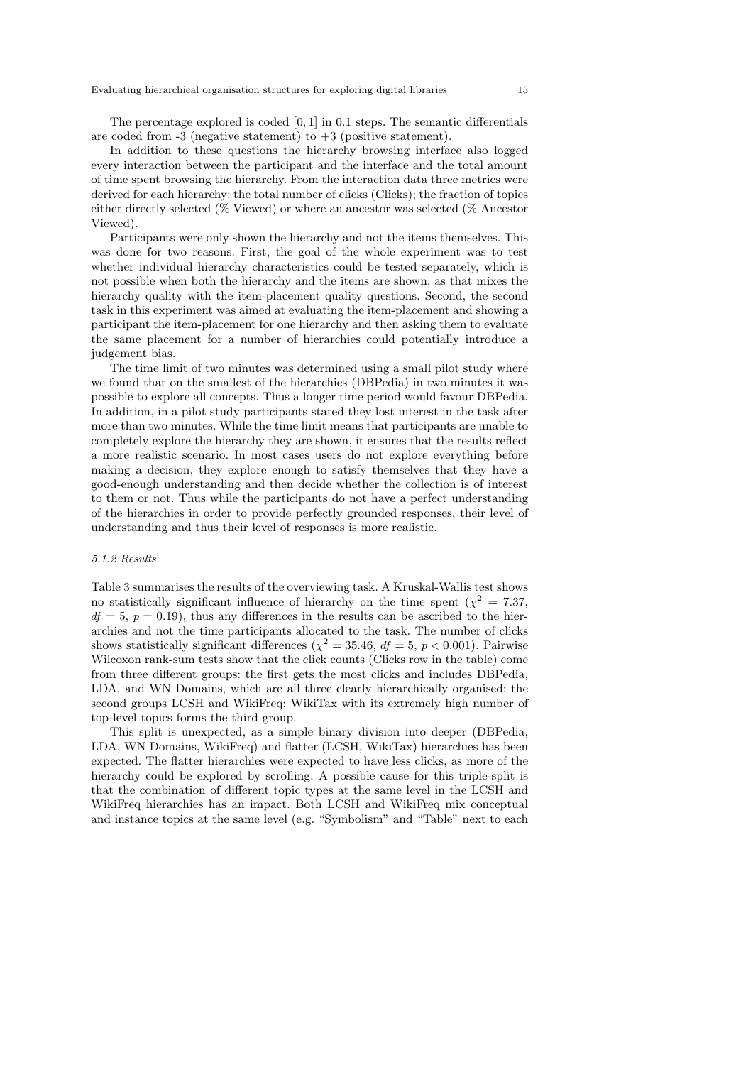The percentage explored is coded  $[0, 1]$  in 0.1 steps. The semantic differentials are coded from  $-3$  (negative statement) to  $+3$  (positive statement).

In addition to these questions the hierarchy browsing interface also logged every interaction between the participant and the interface and the total amount of time spent browsing the hierarchy. From the interaction data three metrics were derived for each hierarchy: the total number of clicks (Clicks); the fraction of topics either directly selected (% Viewed) or where an ancestor was selected (% Ancestor Viewed).

Participants were only shown the hierarchy and not the items themselves. This was done for two reasons. First, the goal of the whole experiment was to test whether individual hierarchy characteristics could be tested separately, which is not possible when both the hierarchy and the items are shown, as that mixes the hierarchy quality with the item-placement quality questions. Second, the second task in this experiment was aimed at evaluating the item-placement and showing a participant the item-placement for one hierarchy and then asking them to evaluate the same placement for a number of hierarchies could potentially introduce a judgement bias.

The time limit of two minutes was determined using a small pilot study where we found that on the smallest of the hierarchies (DBPedia) in two minutes it was possible to explore all concepts. Thus a longer time period would favour DBPedia. In addition, in a pilot study participants stated they lost interest in the task after more than two minutes. While the time limit means that participants are unable to completely explore the hierarchy they are shown, it ensures that the results reflect a more realistic scenario. In most cases users do not explore everything before making a decision, they explore enough to satisfy themselves that they have a good-enough understanding and then decide whether the collection is of interest to them or not. Thus while the participants do not have a perfect understanding of the hierarchies in order to provide perfectly grounded responses, their level of understanding and thus their level of responses is more realistic.

# 5.1.2 Results

Table 3 summarises the results of the overviewing task. A Kruskal-Wallis test shows no statistically significant influence of hierarchy on the time spent ( $\chi^2 = 7.37$ ,  $df = 5, p = 0.19$ , thus any differences in the results can be ascribed to the hierarchies and not the time participants allocated to the task. The number of clicks shows statistically significant differences ( $\chi^2 = 35.46$ ,  $df = 5$ ,  $p < 0.001$ ). Pairwise Wilcoxon rank-sum tests show that the click counts (Clicks row in the table) come from three different groups: the first gets the most clicks and includes DBPedia, LDA, and WN Domains, which are all three clearly hierarchically organised; the second groups LCSH and WikiFreq; WikiTax with its extremely high number of top-level topics forms the third group.

This split is unexpected, as a simple binary division into deeper (DBPedia, LDA, WN Domains, WikiFreq) and flatter (LCSH, WikiTax) hierarchies has been expected. The flatter hierarchies were expected to have less clicks, as more of the hierarchy could be explored by scrolling. A possible cause for this triple-split is that the combination of different topic types at the same level in the LCSH and WikiFreq hierarchies has an impact. Both LCSH and WikiFreq mix conceptual and instance topics at the same level (e.g. "Symbolism" and "Table" next to each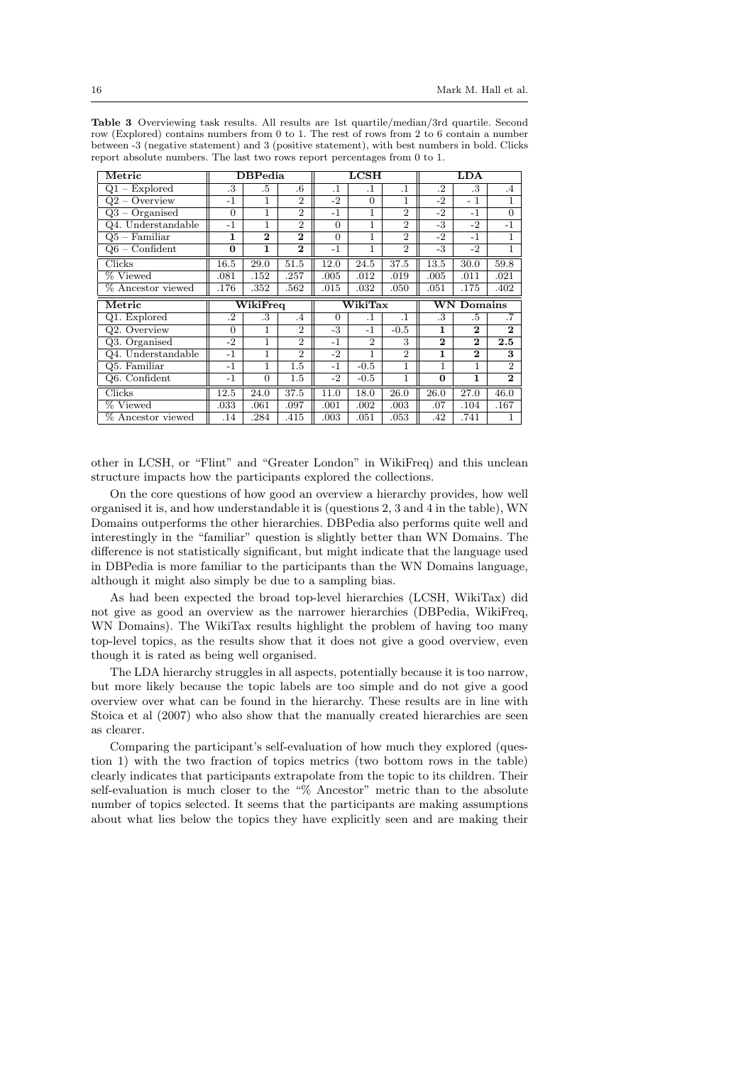| Metric                     |           | <b>DBPedia</b> |                |           | $_{\rm LCSH}$  |                |              | LDA        |                |
|----------------------------|-----------|----------------|----------------|-----------|----------------|----------------|--------------|------------|----------------|
| $Q1 -$ Explored            | .3        | .5             | .6             | $\cdot$ 1 | $\cdot$ 1      | $\cdot$ 1      | $\cdot^2$    | .3         | $\cdot^4$      |
| $Q2 -$ Overview            | $-1$      | $\mathbf{1}$   | $\overline{2}$ | $-2$      | $\Omega$       | 1              | $-2$         | $-1$       | 1              |
| $Q3 - Organised$           | $\Omega$  | $\mathbf{1}$   | $\mathfrak{D}$ | $-1$      | 1              | $\overline{2}$ | $-2$         | $-1$       | $\Omega$       |
| Q4. Understandable         | $-1$      | 1              | $\overline{2}$ | $\Omega$  | 1              | $\overline{2}$ | -3           | $-2$       | $-1$           |
| $Q5 - Familiar$            | 1         | $\overline{2}$ | $\mathbf{2}$   | $\Omega$  | 1              | $\overline{2}$ | $-2$         | $-1$       | 1              |
| $Q6 -$ Confident           | $\Omega$  | 1              | $\mathbf{2}$   | $-1$      | 1              | $\overline{2}$ | $-3$         | $-2$       | $\mathbf 1$    |
| Clicks                     | 16.5      | 29.0           | 51.5           | 12.0      | 24.5           | 37.5           | 13.5         | 30.0       | 59.8           |
| % Viewed                   | .081      | .152           | .257           | .005      | .012           | .019           | .005         | .011       | .021           |
| % Ancestor viewed          | .176      | .352           | .562           | .015      | .032           | .050           | .051         | .175       | .402           |
|                            |           |                |                |           |                |                |              |            |                |
| Metric                     |           | WikiFreq       |                |           | WikiTax        |                |              | WN Domains |                |
| $\overline{Q1}$ . Explored | $\cdot^2$ | .3             | .4             | $\Omega$  | $\cdot$ 1      | $\cdot$ 1      | .3           | .5         | .7             |
| Q2. Overview               | $\Omega$  | 1              | $\overline{2}$ | $-3$      | $-1$           | $-0.5$         | 1            | $\bf{2}$   | $\overline{2}$ |
| Q3. Organised              | $-2$      | $\mathbf{1}$   | $\mathfrak{D}$ | $-1$      | $\overline{2}$ | 3              | $\mathbf{2}$ | $\bf{2}$   | 2.5            |
| Q4. Understandable         | $-1$      | 1              | $\overline{2}$ | $-2$      | 1              | $\overline{2}$ | 1            | $\bf{2}$   | 3              |
| Q5. Familiar               | $-1$      | 1              | 1.5            | $-1$      | $-0.5$         | $\overline{1}$ | 1            | 1          | $\overline{2}$ |
| Q6. Confident              | $-1$      | $\Omega$       | 1.5            | $-2$      | $-0.5$         | 1              | $\Omega$     | 1          | $\bf{2}$       |
| Clicks                     | 12.5      | 24.0           | 37.5           | 11.0      | 18.0           | 26.0           | 26.0         | 27.0       | 46.0           |
| % Viewed                   | .033      | .061           | .097           | .001      | .002           | .003           | .07          | .104       | .167           |

Table 3 Overviewing task results. All results are 1st quartile/median/3rd quartile. Second row (Explored) contains numbers from 0 to 1. The rest of rows from 2 to 6 contain a number between -3 (negative statement) and 3 (positive statement), with best numbers in bold. Clicks report absolute numbers. The last two rows report percentages from 0 to 1.

other in LCSH, or "Flint" and "Greater London" in WikiFreq) and this unclean structure impacts how the participants explored the collections.

On the core questions of how good an overview a hierarchy provides, how well organised it is, and how understandable it is (questions 2, 3 and 4 in the table), WN Domains outperforms the other hierarchies. DBPedia also performs quite well and interestingly in the "familiar" question is slightly better than WN Domains. The difference is not statistically significant, but might indicate that the language used in DBPedia is more familiar to the participants than the WN Domains language, although it might also simply be due to a sampling bias.

As had been expected the broad top-level hierarchies (LCSH, WikiTax) did not give as good an overview as the narrower hierarchies (DBPedia, WikiFreq, WN Domains). The WikiTax results highlight the problem of having too many top-level topics, as the results show that it does not give a good overview, even though it is rated as being well organised.

The LDA hierarchy struggles in all aspects, potentially because it is too narrow, but more likely because the topic labels are too simple and do not give a good overview over what can be found in the hierarchy. These results are in line with Stoica et al (2007) who also show that the manually created hierarchies are seen as clearer.

Comparing the participant's self-evaluation of how much they explored (question 1) with the two fraction of topics metrics (two bottom rows in the table) clearly indicates that participants extrapolate from the topic to its children. Their self-evaluation is much closer to the "% Ancestor" metric than to the absolute number of topics selected. It seems that the participants are making assumptions about what lies below the topics they have explicitly seen and are making their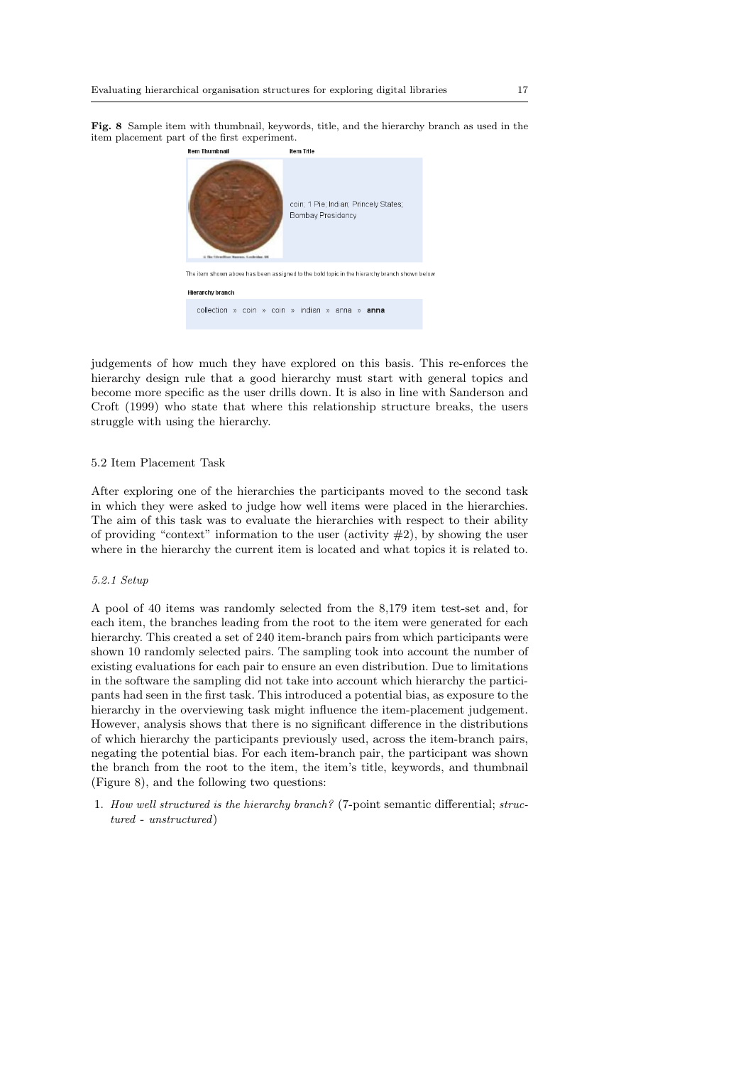Fig. 8 Sample item with thumbnail, keywords, title, and the hierarchy branch as used in the item placement part of the first experiment.



judgements of how much they have explored on this basis. This re-enforces the hierarchy design rule that a good hierarchy must start with general topics and become more specific as the user drills down. It is also in line with Sanderson and Croft (1999) who state that where this relationship structure breaks, the users struggle with using the hierarchy.

# 5.2 Item Placement Task

After exploring one of the hierarchies the participants moved to the second task in which they were asked to judge how well items were placed in the hierarchies. The aim of this task was to evaluate the hierarchies with respect to their ability of providing "context" information to the user (activity  $\#2$ ), by showing the user where in the hierarchy the current item is located and what topics it is related to.

# 5.2.1 Setup

A pool of 40 items was randomly selected from the 8,179 item test-set and, for each item, the branches leading from the root to the item were generated for each hierarchy. This created a set of 240 item-branch pairs from which participants were shown 10 randomly selected pairs. The sampling took into account the number of existing evaluations for each pair to ensure an even distribution. Due to limitations in the software the sampling did not take into account which hierarchy the participants had seen in the first task. This introduced a potential bias, as exposure to the hierarchy in the overviewing task might influence the item-placement judgement. However, analysis shows that there is no significant difference in the distributions of which hierarchy the participants previously used, across the item-branch pairs, negating the potential bias. For each item-branch pair, the participant was shown the branch from the root to the item, the item's title, keywords, and thumbnail (Figure 8), and the following two questions:

1. How well structured is the hierarchy branch? (7-point semantic differential; structured - unstructured)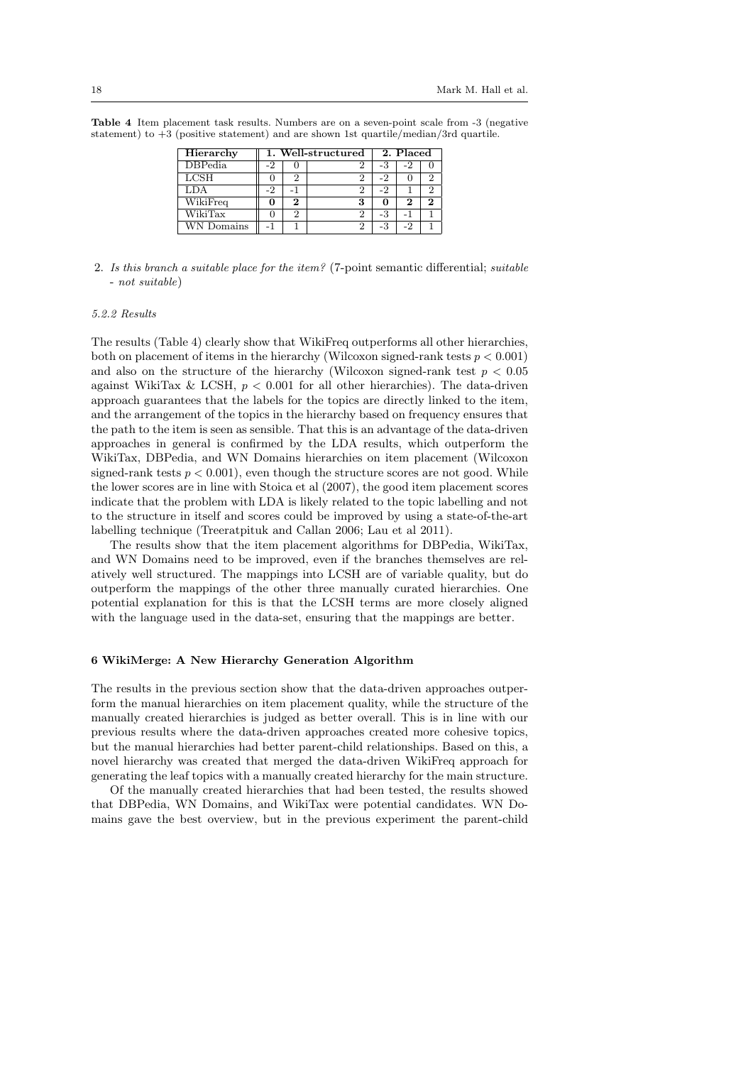| Hierarchy     |    |   | 1. Well-structured | 2. Placed |    |   |  |
|---------------|----|---|--------------------|-----------|----|---|--|
| DBPedia       | -2 |   | 2                  |           | -2 |   |  |
| $_{\rm LCSH}$ |    | 2 | 2                  | -2        |    | ച |  |
| LDA           | -2 |   | 2                  | $-2$      |    | ົ |  |
| WikiFreq      |    | 2 | 3                  |           | 2  |   |  |
| WikiTax       |    | 2 | 2                  | -3        |    |   |  |
| WN Domains    |    |   | 2                  |           | ാ  |   |  |

Table 4 Item placement task results. Numbers are on a seven-point scale from -3 (negative statement) to +3 (positive statement) and are shown 1st quartile/median/3rd quartile.

2. Is this branch a suitable place for the item? (7-point semantic differential; suitable - not suitable)

#### 5.2.2 Results

The results (Table 4) clearly show that WikiFreq outperforms all other hierarchies, both on placement of items in the hierarchy (Wilcoxon signed-rank tests  $p < 0.001$ ) and also on the structure of the hierarchy (Wilcoxon signed-rank test  $p < 0.05$ ) against WikiTax & LCSH,  $p < 0.001$  for all other hierarchies). The data-driven approach guarantees that the labels for the topics are directly linked to the item, and the arrangement of the topics in the hierarchy based on frequency ensures that the path to the item is seen as sensible. That this is an advantage of the data-driven approaches in general is confirmed by the LDA results, which outperform the WikiTax, DBPedia, and WN Domains hierarchies on item placement (Wilcoxon signed-rank tests  $p < 0.001$ , even though the structure scores are not good. While the lower scores are in line with Stoica et al (2007), the good item placement scores indicate that the problem with LDA is likely related to the topic labelling and not to the structure in itself and scores could be improved by using a state-of-the-art labelling technique (Treeratpituk and Callan 2006; Lau et al 2011).

The results show that the item placement algorithms for DBPedia, WikiTax, and WN Domains need to be improved, even if the branches themselves are relatively well structured. The mappings into LCSH are of variable quality, but do outperform the mappings of the other three manually curated hierarchies. One potential explanation for this is that the LCSH terms are more closely aligned with the language used in the data-set, ensuring that the mappings are better.

# 6 WikiMerge: A New Hierarchy Generation Algorithm

The results in the previous section show that the data-driven approaches outperform the manual hierarchies on item placement quality, while the structure of the manually created hierarchies is judged as better overall. This is in line with our previous results where the data-driven approaches created more cohesive topics, but the manual hierarchies had better parent-child relationships. Based on this, a novel hierarchy was created that merged the data-driven WikiFreq approach for generating the leaf topics with a manually created hierarchy for the main structure.

Of the manually created hierarchies that had been tested, the results showed that DBPedia, WN Domains, and WikiTax were potential candidates. WN Domains gave the best overview, but in the previous experiment the parent-child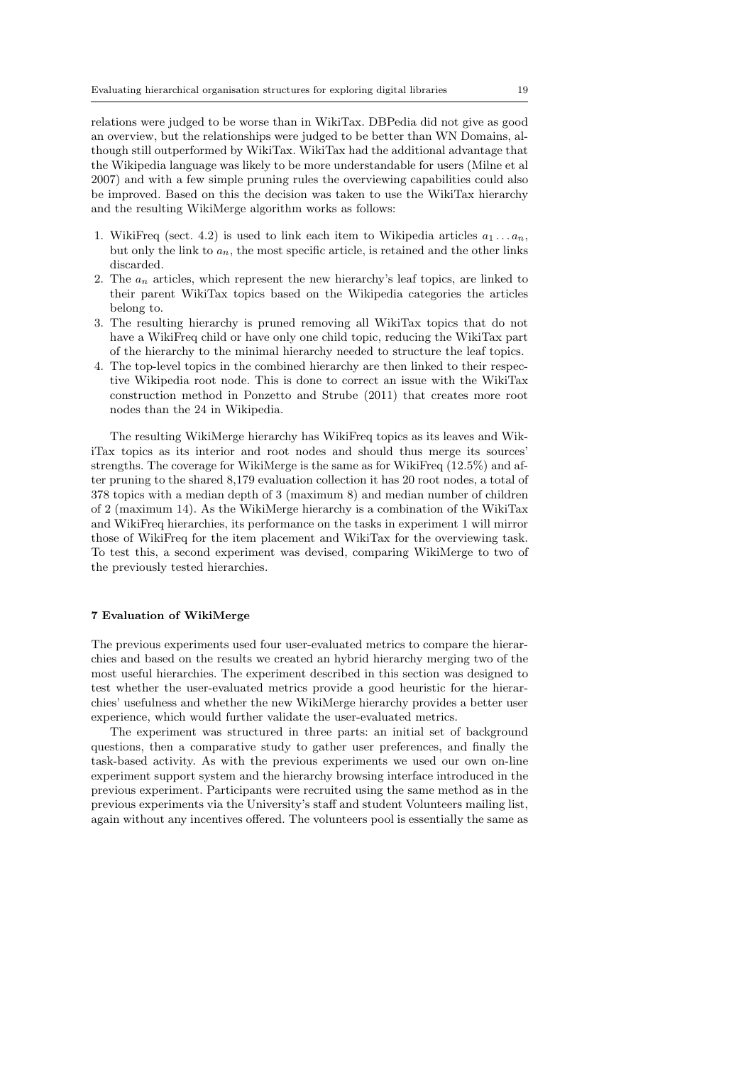relations were judged to be worse than in WikiTax. DBPedia did not give as good an overview, but the relationships were judged to be better than WN Domains, although still outperformed by WikiTax. WikiTax had the additional advantage that the Wikipedia language was likely to be more understandable for users (Milne et al 2007) and with a few simple pruning rules the overviewing capabilities could also be improved. Based on this the decision was taken to use the WikiTax hierarchy and the resulting WikiMerge algorithm works as follows:

- 1. WikiFreq (sect. 4.2) is used to link each item to Wikipedia articles  $a_1 \ldots a_n$ , but only the link to  $a_n$ , the most specific article, is retained and the other links discarded.
- 2. The  $a_n$  articles, which represent the new hierarchy's leaf topics, are linked to their parent WikiTax topics based on the Wikipedia categories the articles belong to.
- 3. The resulting hierarchy is pruned removing all WikiTax topics that do not have a WikiFreq child or have only one child topic, reducing the WikiTax part of the hierarchy to the minimal hierarchy needed to structure the leaf topics.
- 4. The top-level topics in the combined hierarchy are then linked to their respective Wikipedia root node. This is done to correct an issue with the WikiTax construction method in Ponzetto and Strube (2011) that creates more root nodes than the 24 in Wikipedia.

The resulting WikiMerge hierarchy has WikiFreq topics as its leaves and WikiTax topics as its interior and root nodes and should thus merge its sources' strengths. The coverage for WikiMerge is the same as for WikiFreq (12.5%) and after pruning to the shared 8,179 evaluation collection it has 20 root nodes, a total of 378 topics with a median depth of 3 (maximum 8) and median number of children of 2 (maximum 14). As the WikiMerge hierarchy is a combination of the WikiTax and WikiFreq hierarchies, its performance on the tasks in experiment 1 will mirror those of WikiFreq for the item placement and WikiTax for the overviewing task. To test this, a second experiment was devised, comparing WikiMerge to two of the previously tested hierarchies.

# 7 Evaluation of WikiMerge

The previous experiments used four user-evaluated metrics to compare the hierarchies and based on the results we created an hybrid hierarchy merging two of the most useful hierarchies. The experiment described in this section was designed to test whether the user-evaluated metrics provide a good heuristic for the hierarchies' usefulness and whether the new WikiMerge hierarchy provides a better user experience, which would further validate the user-evaluated metrics.

The experiment was structured in three parts: an initial set of background questions, then a comparative study to gather user preferences, and finally the task-based activity. As with the previous experiments we used our own on-line experiment support system and the hierarchy browsing interface introduced in the previous experiment. Participants were recruited using the same method as in the previous experiments via the University's staff and student Volunteers mailing list, again without any incentives offered. The volunteers pool is essentially the same as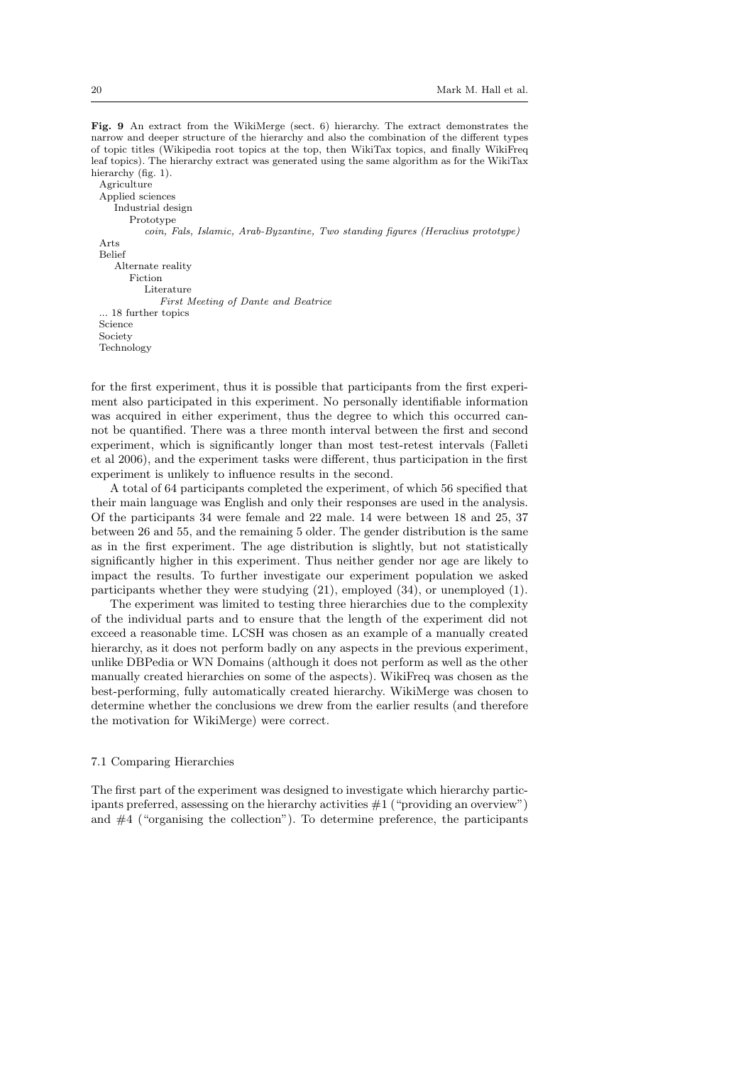Fig. 9 An extract from the WikiMerge (sect. 6) hierarchy. The extract demonstrates the narrow and deeper structure of the hierarchy and also the combination of the different types of topic titles (Wikipedia root topics at the top, then WikiTax topics, and finally WikiFreq leaf topics). The hierarchy extract was generated using the same algorithm as for the WikiTax hierarchy (fig. 1).

Agriculture Applied sciences Industrial design Prototype coin, Fals, Islamic, Arab-Byzantine, Two standing figures (Heraclius prototype) Arts Belief Alternate reality Fiction Literature First Meeting of Dante and Beatrice ... 18 further topics Science Society Technology

for the first experiment, thus it is possible that participants from the first experiment also participated in this experiment. No personally identifiable information was acquired in either experiment, thus the degree to which this occurred cannot be quantified. There was a three month interval between the first and second experiment, which is significantly longer than most test-retest intervals (Falleti et al 2006), and the experiment tasks were different, thus participation in the first experiment is unlikely to influence results in the second.

A total of 64 participants completed the experiment, of which 56 specified that their main language was English and only their responses are used in the analysis. Of the participants 34 were female and 22 male. 14 were between 18 and 25, 37 between 26 and 55, and the remaining 5 older. The gender distribution is the same as in the first experiment. The age distribution is slightly, but not statistically significantly higher in this experiment. Thus neither gender nor age are likely to impact the results. To further investigate our experiment population we asked participants whether they were studying (21), employed (34), or unemployed (1).

The experiment was limited to testing three hierarchies due to the complexity of the individual parts and to ensure that the length of the experiment did not exceed a reasonable time. LCSH was chosen as an example of a manually created hierarchy, as it does not perform badly on any aspects in the previous experiment, unlike DBPedia or WN Domains (although it does not perform as well as the other manually created hierarchies on some of the aspects). WikiFreq was chosen as the best-performing, fully automatically created hierarchy. WikiMerge was chosen to determine whether the conclusions we drew from the earlier results (and therefore the motivation for WikiMerge) were correct.

### 7.1 Comparing Hierarchies

The first part of the experiment was designed to investigate which hierarchy participants preferred, assessing on the hierarchy activities #1 ("providing an overview") and  $#4$  ("organising the collection"). To determine preference, the participants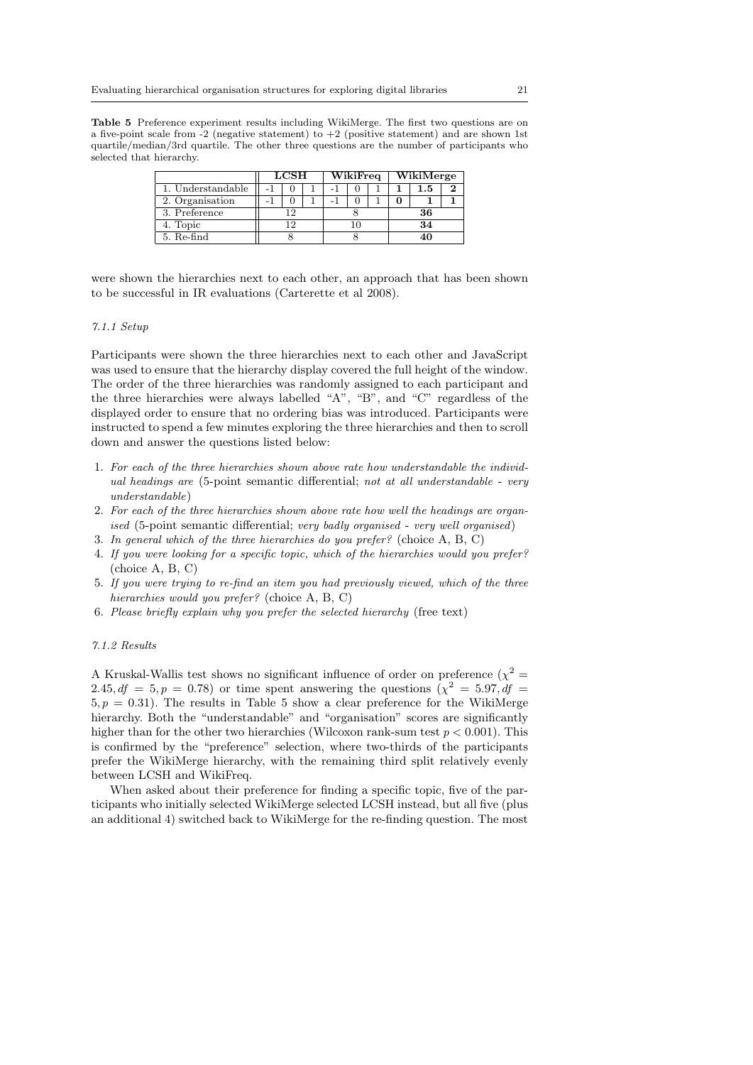Table 5 Preference experiment results including WikiMerge. The first two questions are on a five-point scale from  $-2$  (negative statement) to  $+2$  (positive statement) and are shown 1st quartile/median/3rd quartile. The other three questions are the number of participants who selected that hierarchy.

|                   | $_{\rm LCSH}$ |  |  | WikiFreq |  |  | WikiMerge |     |  |
|-------------------|---------------|--|--|----------|--|--|-----------|-----|--|
| 1. Understandable |               |  |  |          |  |  |           | 1.5 |  |
| 2. Organisation   |               |  |  |          |  |  |           |     |  |
| 3. Preference     | 1 ດ           |  |  |          |  |  |           | 36  |  |
| 4. Topic          | 1 ດ           |  |  | 10       |  |  | 34        |     |  |
| 5. Re-find        |               |  |  |          |  |  |           |     |  |

were shown the hierarchies next to each other, an approach that has been shown to be successful in IR evaluations (Carterette et al 2008).

### 7.1.1 Setup

Participants were shown the three hierarchies next to each other and JavaScript was used to ensure that the hierarchy display covered the full height of the window. The order of the three hierarchies was randomly assigned to each participant and the three hierarchies were always labelled "A", "B", and "C" regardless of the displayed order to ensure that no ordering bias was introduced. Participants were instructed to spend a few minutes exploring the three hierarchies and then to scroll down and answer the questions listed below:

- 1. For each of the three hierarchies shown above rate how understandable the individual headings are (5-point semantic differential; not at all understandable - very understandable)
- 2. For each of the three hierarchies shown above rate how well the headings are organised (5-point semantic differential; very badly organised - very well organised)
- 3. In general which of the three hierarchies do you prefer? (choice A, B, C)
- 4. If you were looking for a specific topic, which of the hierarchies would you prefer? (choice A, B, C)
- 5. If you were trying to re-find an item you had previously viewed, which of the three hierarchies would you prefer? (choice A, B, C)
- 6. Please briefly explain why you prefer the selected hierarchy (free text)

# 7.1.2 Results

A Kruskal-Wallis test shows no significant influence of order on preference  $(\chi^2 =$ 2.45,  $df = 5, p = 0.78$ ) or time spent answering the questions  $(\chi^2 = 5.97, df = 1.02)$  $5, p = 0.31$ . The results in Table 5 show a clear preference for the WikiMerge hierarchy. Both the "understandable" and "organisation" scores are significantly higher than for the other two hierarchies (Wilcoxon rank-sum test  $p < 0.001$ ). This is confirmed by the "preference" selection, where two-thirds of the participants prefer the WikiMerge hierarchy, with the remaining third split relatively evenly between LCSH and WikiFreq.

When asked about their preference for finding a specific topic, five of the participants who initially selected WikiMerge selected LCSH instead, but all five (plus an additional 4) switched back to WikiMerge for the re-finding question. The most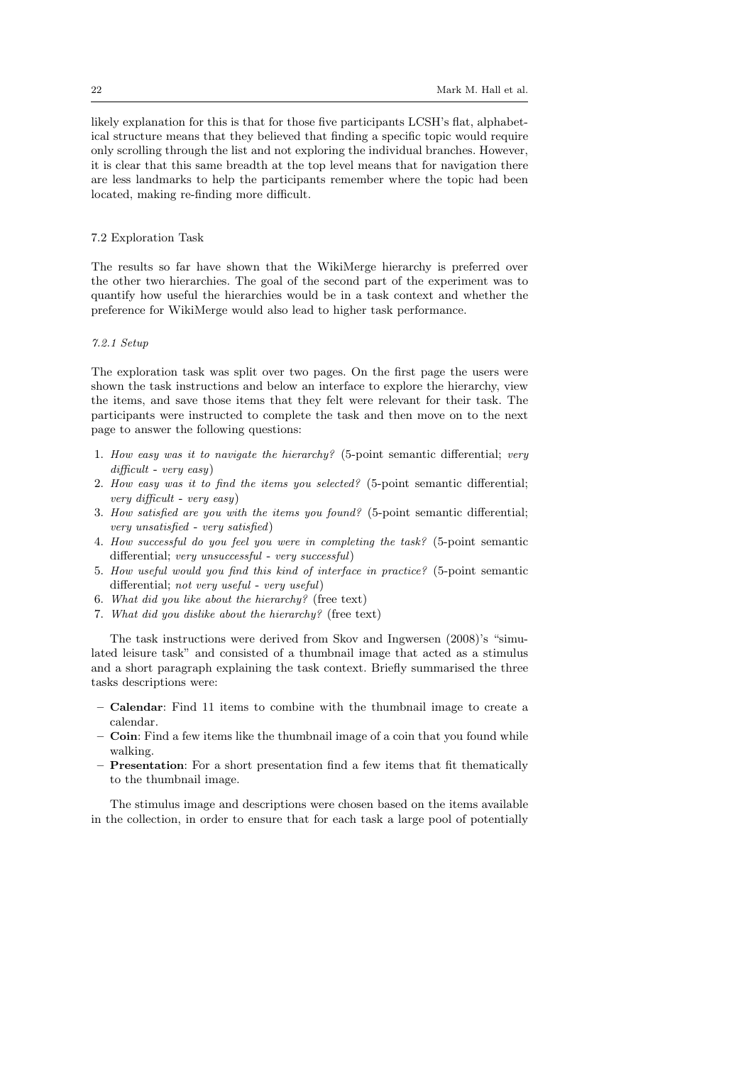likely explanation for this is that for those five participants LCSH's flat, alphabetical structure means that they believed that finding a specific topic would require only scrolling through the list and not exploring the individual branches. However, it is clear that this same breadth at the top level means that for navigation there are less landmarks to help the participants remember where the topic had been located, making re-finding more difficult.

#### 7.2 Exploration Task

The results so far have shown that the WikiMerge hierarchy is preferred over the other two hierarchies. The goal of the second part of the experiment was to quantify how useful the hierarchies would be in a task context and whether the preference for WikiMerge would also lead to higher task performance.

### 7.2.1 Setup

The exploration task was split over two pages. On the first page the users were shown the task instructions and below an interface to explore the hierarchy, view the items, and save those items that they felt were relevant for their task. The participants were instructed to complete the task and then move on to the next page to answer the following questions:

- 1. How easy was it to navigate the hierarchy? (5-point semantic differential; very difficult - very easy)
- 2. How easy was it to find the items you selected? (5-point semantic differential; very difficult - very easy)
- 3. How satisfied are you with the items you found? (5-point semantic differential; very unsatisfied - very satisfied)
- 4. How successful do you feel you were in completing the task? (5-point semantic differential; very unsuccessful - very successful)
- 5. How useful would you find this kind of interface in practice? (5-point semantic differential; not very useful - very useful)
- 6. What did you like about the hierarchy? (free text)
- 7. What did you dislike about the hierarchy? (free text)

The task instructions were derived from Skov and Ingwersen (2008)'s "simulated leisure task" and consisted of a thumbnail image that acted as a stimulus and a short paragraph explaining the task context. Briefly summarised the three tasks descriptions were:

- Calendar: Find 11 items to combine with the thumbnail image to create a calendar.
- Coin: Find a few items like the thumbnail image of a coin that you found while walking.
- Presentation: For a short presentation find a few items that fit thematically to the thumbnail image.

The stimulus image and descriptions were chosen based on the items available in the collection, in order to ensure that for each task a large pool of potentially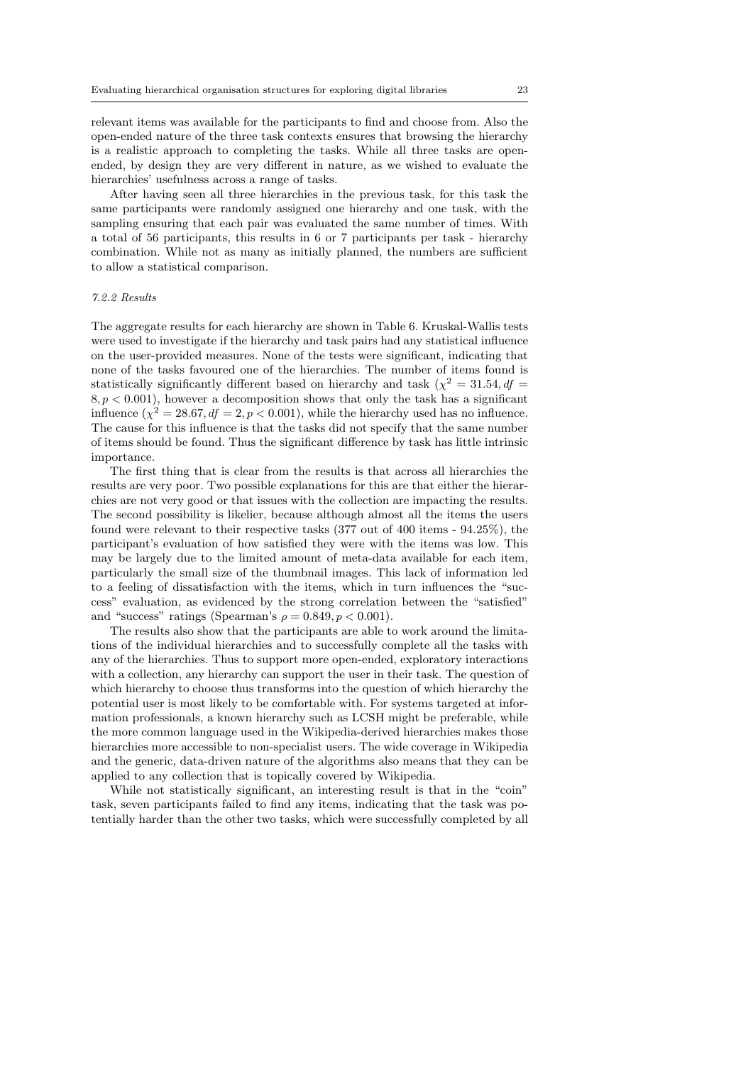relevant items was available for the participants to find and choose from. Also the open-ended nature of the three task contexts ensures that browsing the hierarchy is a realistic approach to completing the tasks. While all three tasks are openended, by design they are very different in nature, as we wished to evaluate the hierarchies' usefulness across a range of tasks.

After having seen all three hierarchies in the previous task, for this task the same participants were randomly assigned one hierarchy and one task, with the sampling ensuring that each pair was evaluated the same number of times. With a total of 56 participants, this results in 6 or 7 participants per task - hierarchy combination. While not as many as initially planned, the numbers are sufficient to allow a statistical comparison.

# 7.2.2 Results

The aggregate results for each hierarchy are shown in Table 6. Kruskal-Wallis tests were used to investigate if the hierarchy and task pairs had any statistical influence on the user-provided measures. None of the tests were significant, indicating that none of the tasks favoured one of the hierarchies. The number of items found is statistically significantly different based on hierarchy and task  $(\chi^2 = 31.54, df =$  $8, p < 0.001$ ), however a decomposition shows that only the task has a significant influence  $(\chi^2 = 28.67, df = 2, p < 0.001)$ , while the hierarchy used has no influence. The cause for this influence is that the tasks did not specify that the same number of items should be found. Thus the significant difference by task has little intrinsic importance.

The first thing that is clear from the results is that across all hierarchies the results are very poor. Two possible explanations for this are that either the hierarchies are not very good or that issues with the collection are impacting the results. The second possibility is likelier, because although almost all the items the users found were relevant to their respective tasks (377 out of 400 items - 94.25%), the participant's evaluation of how satisfied they were with the items was low. This may be largely due to the limited amount of meta-data available for each item, particularly the small size of the thumbnail images. This lack of information led to a feeling of dissatisfaction with the items, which in turn influences the "success" evaluation, as evidenced by the strong correlation between the "satisfied" and "success" ratings (Spearman's  $\rho = 0.849, p < 0.001$ ).

The results also show that the participants are able to work around the limitations of the individual hierarchies and to successfully complete all the tasks with any of the hierarchies. Thus to support more open-ended, exploratory interactions with a collection, any hierarchy can support the user in their task. The question of which hierarchy to choose thus transforms into the question of which hierarchy the potential user is most likely to be comfortable with. For systems targeted at information professionals, a known hierarchy such as LCSH might be preferable, while the more common language used in the Wikipedia-derived hierarchies makes those hierarchies more accessible to non-specialist users. The wide coverage in Wikipedia and the generic, data-driven nature of the algorithms also means that they can be applied to any collection that is topically covered by Wikipedia.

While not statistically significant, an interesting result is that in the "coin" task, seven participants failed to find any items, indicating that the task was potentially harder than the other two tasks, which were successfully completed by all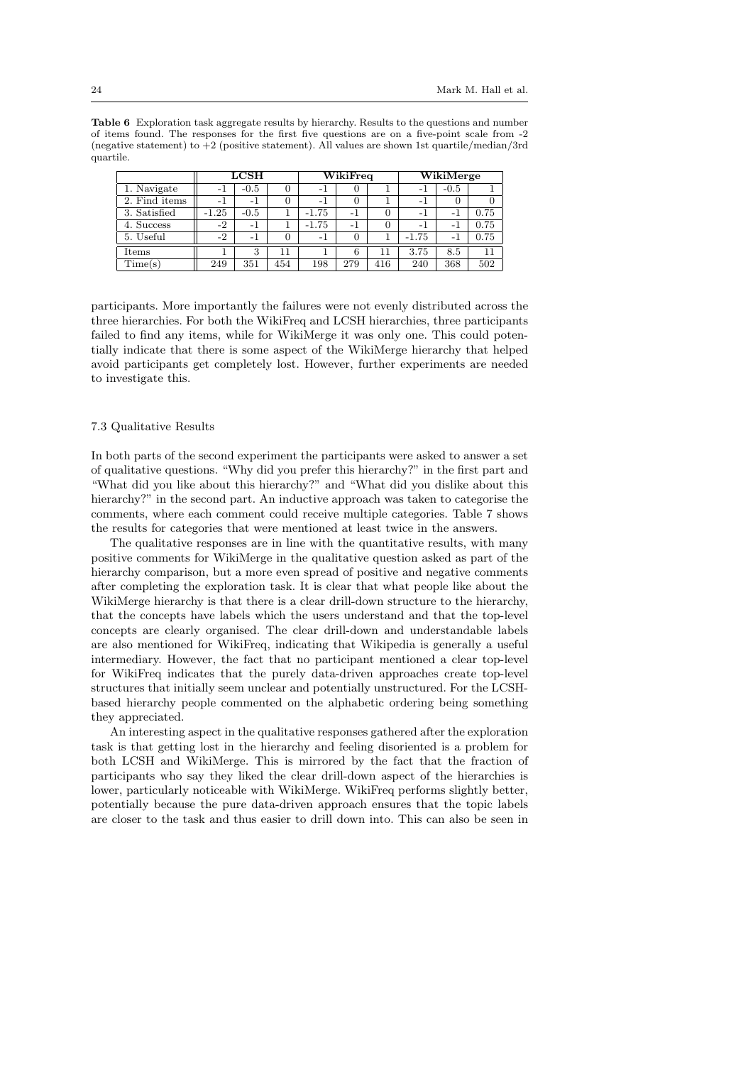|               | $_{\rm LCSH}$ |        |          |         | WikiFreq |     | WikiMerge |        |      |  |
|---------------|---------------|--------|----------|---------|----------|-----|-----------|--------|------|--|
| 1. Navigate   | - 1           | $-0.5$ | 0        | - 1     |          |     | - 1       | $-0.5$ |      |  |
| 2. Find items | -1            | -1     | $\Omega$ | $-1$    |          |     | $-1$      | 0      |      |  |
| 3. Satisfied  | $-1.25$       | $-0.5$ |          | $-1.75$ | $-1$     | 0   | $-1$      | -1     | 0.75 |  |
| 4. Success    | $-2$          | -1     |          | $-1.75$ | $-1$     | 0   | -1        | -1     | 0.75 |  |
| 5. Useful     | $-2$          | -1     | $\Omega$ | $-1$    |          |     | $-1.75$   | -1     | 0.75 |  |
| Items         |               | 3      | 11       |         | 6        | 11  | 3.75      | 8.5    | 11   |  |
| Time(s)       | 249           | 351    | 454      | 198     | 279      | 416 | 240       | 368    | 502  |  |

Table 6 Exploration task aggregate results by hierarchy. Results to the questions and number of items found. The responses for the first five questions are on a five-point scale from -2 (negative statement) to  $+2$  (positive statement). All values are shown 1st quartile/median/3rd quartile.

participants. More importantly the failures were not evenly distributed across the three hierarchies. For both the WikiFreq and LCSH hierarchies, three participants failed to find any items, while for WikiMerge it was only one. This could potentially indicate that there is some aspect of the WikiMerge hierarchy that helped avoid participants get completely lost. However, further experiments are needed to investigate this.

# 7.3 Qualitative Results

In both parts of the second experiment the participants were asked to answer a set of qualitative questions. "Why did you prefer this hierarchy?" in the first part and "What did you like about this hierarchy?" and "What did you dislike about this hierarchy?" in the second part. An inductive approach was taken to categorise the comments, where each comment could receive multiple categories. Table 7 shows the results for categories that were mentioned at least twice in the answers.

The qualitative responses are in line with the quantitative results, with many positive comments for WikiMerge in the qualitative question asked as part of the hierarchy comparison, but a more even spread of positive and negative comments after completing the exploration task. It is clear that what people like about the WikiMerge hierarchy is that there is a clear drill-down structure to the hierarchy, that the concepts have labels which the users understand and that the top-level concepts are clearly organised. The clear drill-down and understandable labels are also mentioned for WikiFreq, indicating that Wikipedia is generally a useful intermediary. However, the fact that no participant mentioned a clear top-level for WikiFreq indicates that the purely data-driven approaches create top-level structures that initially seem unclear and potentially unstructured. For the LCSHbased hierarchy people commented on the alphabetic ordering being something they appreciated.

An interesting aspect in the qualitative responses gathered after the exploration task is that getting lost in the hierarchy and feeling disoriented is a problem for both LCSH and WikiMerge. This is mirrored by the fact that the fraction of participants who say they liked the clear drill-down aspect of the hierarchies is lower, particularly noticeable with WikiMerge. WikiFreq performs slightly better, potentially because the pure data-driven approach ensures that the topic labels are closer to the task and thus easier to drill down into. This can also be seen in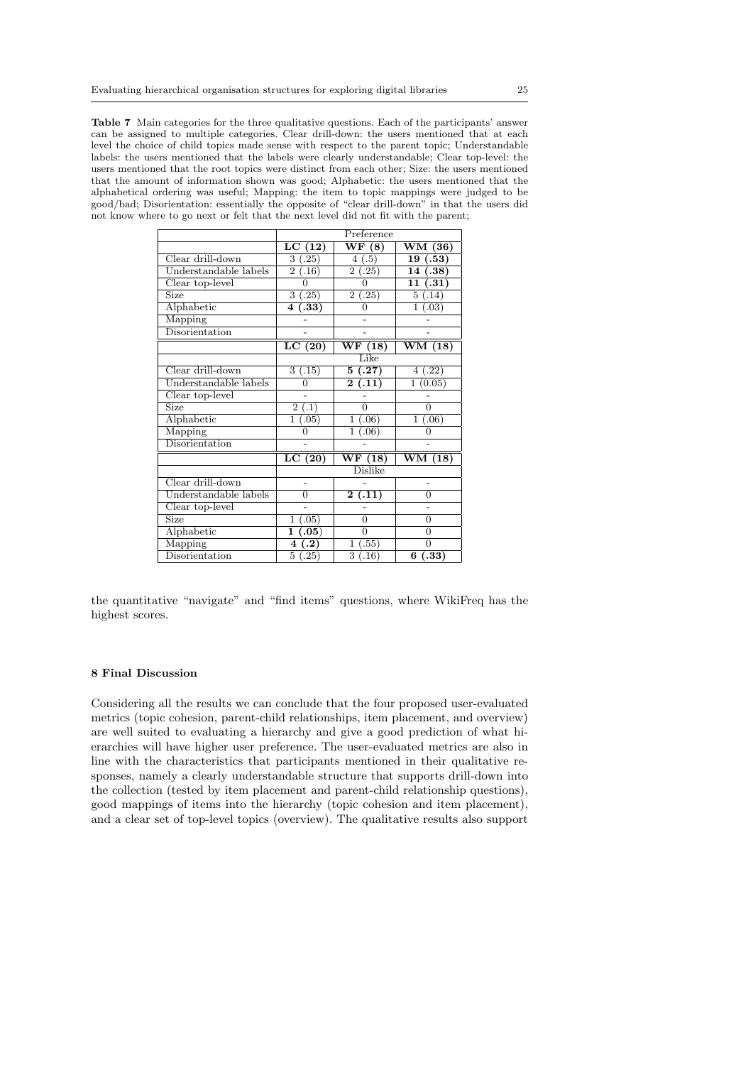Table 7 Main categories for the three qualitative questions. Each of the participants' answer can be assigned to multiple categories. Clear drill-down: the users mentioned that at each level the choice of child topics made sense with respect to the parent topic; Understandable labels: the users mentioned that the labels were clearly understandable; Clear top-level: the users mentioned that the root topics were distinct from each other; Size: the users mentioned that the amount of information shown was good; Alphabetic: the users mentioned that the alphabetical ordering was useful; Mapping: the item to topic mappings were judged to be good/bad; Disorientation: essentially the opposite of "clear drill-down" in that the users did not know where to go next or felt that the next level did not fit with the parent;

|                       |                              | Preference                          |                             |
|-----------------------|------------------------------|-------------------------------------|-----------------------------|
|                       | LC(12)                       | $\overline{\text{WF}}(8)$           | WM (36)                     |
| Clear drill-down      | 3<br>$^{(25)}$               | 4<br>(.5)                           | 19(.53)                     |
| Understandable labels | $\overline{2}$<br>(0.16)     | $\overline{2}$<br>(25)              | (.38)<br>14                 |
| Clear top-level       |                              | 0                                   | (.31)<br>11                 |
| Size                  | 3<br>(.25)                   | $\overline{.}25)$<br>$\overline{2}$ | .14)<br>5                   |
| Alphabetic            | (.33)<br>$\overline{\bf{4}}$ | 0                                   | $\overline{1}$<br>(.03)     |
| Mapping               |                              |                                     |                             |
| Disorientation        |                              |                                     |                             |
|                       | LC(20)                       | WF (18)                             | $\overline{\text{WM }(18)}$ |
|                       |                              | Like                                |                             |
| Clear drill-down      | 3(0.15)                      | (.27)<br>5                          | 4(.22)                      |
| Understandable labels | 0                            | $\mathbf{2}$<br>(.11)               | $\mathbf{1}$<br>(0.05)      |
| Clear top-level       |                              |                                     |                             |
| Size                  | $\overline{2}$<br>(.1)       | $\Omega$                            | $\Omega$                    |
| Alphabetic            | (.05)<br>1                   | (.06)<br>$\mathbf{1}$               | .06)<br>1                   |
| Mapping               | 0                            | $\mathbf{1}$<br>(.06)               | 0                           |
| Disorientation        |                              |                                     |                             |
|                       | LC(20)                       | $\overline{\text{WF }(18)}$         | $\overline{\text{WM }(18)}$ |
|                       |                              | <b>Dislike</b>                      |                             |
| Clear drill-down      | $\overline{a}$               |                                     |                             |
| Understandable labels | 0                            | 2(0.11)                             | $\overline{0}$              |
| Clear top-level       |                              |                                     |                             |
| Size                  | .05)<br>1                    | $\Omega$                            | $\Omega$                    |
| Alphabetic            | .05)<br>1                    | 0                                   | $\overline{0}$              |
| Mapping               | (.2)<br>4                    | (.55)<br>1                          | $\Omega$                    |
| Disorientation        | 5<br>(25)                    | 3<br>(0.16)                         | (.33)<br>6                  |

the quantitative "navigate" and "find items" questions, where WikiFreq has the highest scores.

#### 8 Final Discussion

Considering all the results we can conclude that the four proposed user-evaluated metrics (topic cohesion, parent-child relationships, item placement, and overview) are well suited to evaluating a hierarchy and give a good prediction of what hierarchies will have higher user preference. The user-evaluated metrics are also in line with the characteristics that participants mentioned in their qualitative responses, namely a clearly understandable structure that supports drill-down into the collection (tested by item placement and parent-child relationship questions), good mappings of items into the hierarchy (topic cohesion and item placement), and a clear set of top-level topics (overview). The qualitative results also support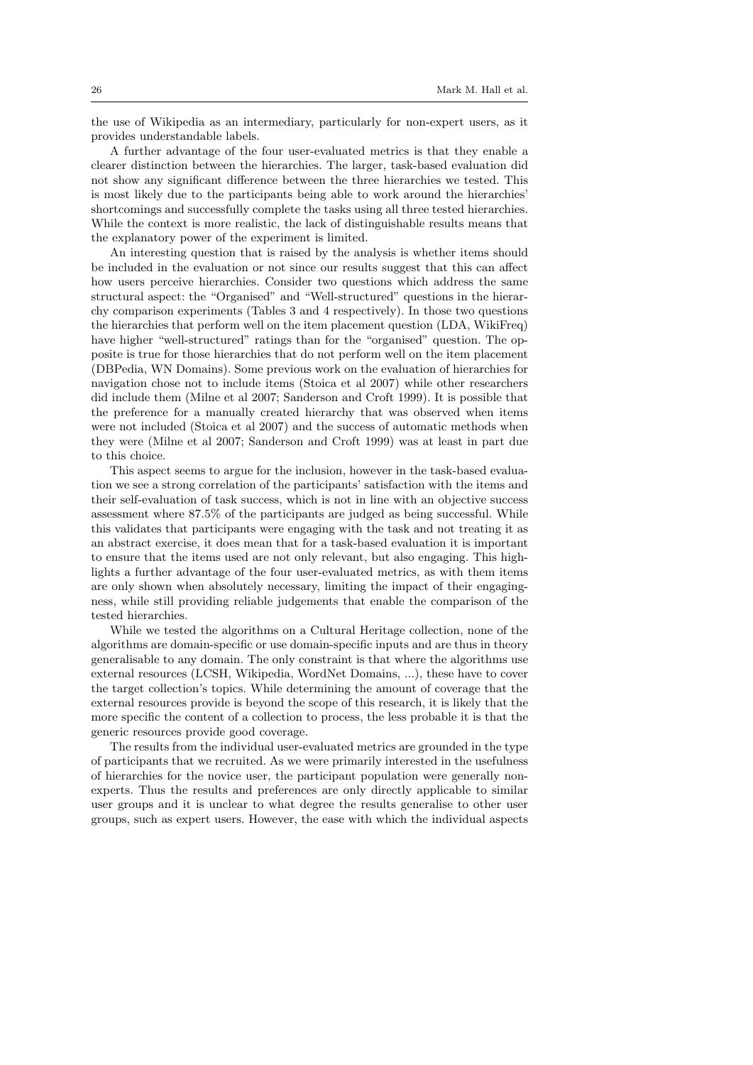the use of Wikipedia as an intermediary, particularly for non-expert users, as it provides understandable labels.

A further advantage of the four user-evaluated metrics is that they enable a clearer distinction between the hierarchies. The larger, task-based evaluation did not show any significant difference between the three hierarchies we tested. This is most likely due to the participants being able to work around the hierarchies' shortcomings and successfully complete the tasks using all three tested hierarchies. While the context is more realistic, the lack of distinguishable results means that the explanatory power of the experiment is limited.

An interesting question that is raised by the analysis is whether items should be included in the evaluation or not since our results suggest that this can affect how users perceive hierarchies. Consider two questions which address the same structural aspect: the "Organised" and "Well-structured" questions in the hierarchy comparison experiments (Tables 3 and 4 respectively). In those two questions the hierarchies that perform well on the item placement question (LDA, WikiFreq) have higher "well-structured" ratings than for the "organised" question. The opposite is true for those hierarchies that do not perform well on the item placement (DBPedia, WN Domains). Some previous work on the evaluation of hierarchies for navigation chose not to include items (Stoica et al 2007) while other researchers did include them (Milne et al 2007; Sanderson and Croft 1999). It is possible that the preference for a manually created hierarchy that was observed when items were not included (Stoica et al 2007) and the success of automatic methods when they were (Milne et al 2007; Sanderson and Croft 1999) was at least in part due to this choice.

This aspect seems to argue for the inclusion, however in the task-based evaluation we see a strong correlation of the participants' satisfaction with the items and their self-evaluation of task success, which is not in line with an objective success assessment where 87.5% of the participants are judged as being successful. While this validates that participants were engaging with the task and not treating it as an abstract exercise, it does mean that for a task-based evaluation it is important to ensure that the items used are not only relevant, but also engaging. This highlights a further advantage of the four user-evaluated metrics, as with them items are only shown when absolutely necessary, limiting the impact of their engagingness, while still providing reliable judgements that enable the comparison of the tested hierarchies.

While we tested the algorithms on a Cultural Heritage collection, none of the algorithms are domain-specific or use domain-specific inputs and are thus in theory generalisable to any domain. The only constraint is that where the algorithms use external resources (LCSH, Wikipedia, WordNet Domains, ...), these have to cover the target collection's topics. While determining the amount of coverage that the external resources provide is beyond the scope of this research, it is likely that the more specific the content of a collection to process, the less probable it is that the generic resources provide good coverage.

The results from the individual user-evaluated metrics are grounded in the type of participants that we recruited. As we were primarily interested in the usefulness of hierarchies for the novice user, the participant population were generally nonexperts. Thus the results and preferences are only directly applicable to similar user groups and it is unclear to what degree the results generalise to other user groups, such as expert users. However, the ease with which the individual aspects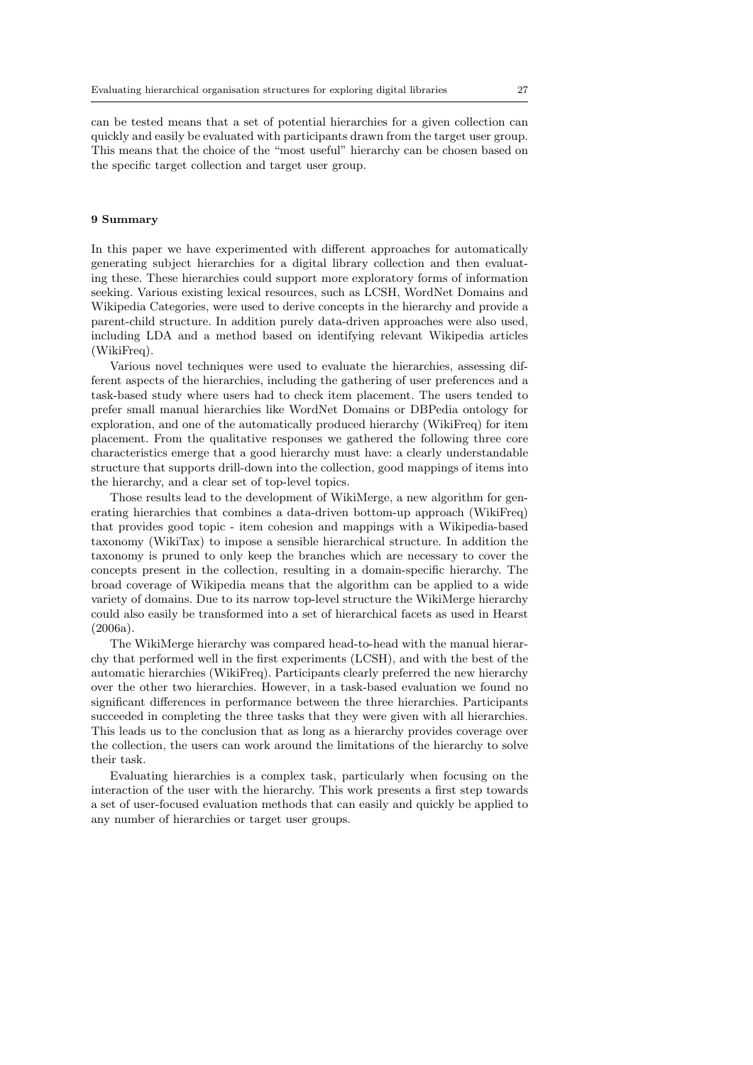can be tested means that a set of potential hierarchies for a given collection can quickly and easily be evaluated with participants drawn from the target user group. This means that the choice of the "most useful" hierarchy can be chosen based on the specific target collection and target user group.

### 9 Summary

In this paper we have experimented with different approaches for automatically generating subject hierarchies for a digital library collection and then evaluating these. These hierarchies could support more exploratory forms of information seeking. Various existing lexical resources, such as LCSH, WordNet Domains and Wikipedia Categories, were used to derive concepts in the hierarchy and provide a parent-child structure. In addition purely data-driven approaches were also used, including LDA and a method based on identifying relevant Wikipedia articles (WikiFreq).

Various novel techniques were used to evaluate the hierarchies, assessing different aspects of the hierarchies, including the gathering of user preferences and a task-based study where users had to check item placement. The users tended to prefer small manual hierarchies like WordNet Domains or DBPedia ontology for exploration, and one of the automatically produced hierarchy (WikiFreq) for item placement. From the qualitative responses we gathered the following three core characteristics emerge that a good hierarchy must have: a clearly understandable structure that supports drill-down into the collection, good mappings of items into the hierarchy, and a clear set of top-level topics.

Those results lead to the development of WikiMerge, a new algorithm for generating hierarchies that combines a data-driven bottom-up approach (WikiFreq) that provides good topic - item cohesion and mappings with a Wikipedia-based taxonomy (WikiTax) to impose a sensible hierarchical structure. In addition the taxonomy is pruned to only keep the branches which are necessary to cover the concepts present in the collection, resulting in a domain-specific hierarchy. The broad coverage of Wikipedia means that the algorithm can be applied to a wide variety of domains. Due to its narrow top-level structure the WikiMerge hierarchy could also easily be transformed into a set of hierarchical facets as used in Hearst (2006a).

The WikiMerge hierarchy was compared head-to-head with the manual hierarchy that performed well in the first experiments (LCSH), and with the best of the automatic hierarchies (WikiFreq). Participants clearly preferred the new hierarchy over the other two hierarchies. However, in a task-based evaluation we found no significant differences in performance between the three hierarchies. Participants succeeded in completing the three tasks that they were given with all hierarchies. This leads us to the conclusion that as long as a hierarchy provides coverage over the collection, the users can work around the limitations of the hierarchy to solve their task.

Evaluating hierarchies is a complex task, particularly when focusing on the interaction of the user with the hierarchy. This work presents a first step towards a set of user-focused evaluation methods that can easily and quickly be applied to any number of hierarchies or target user groups.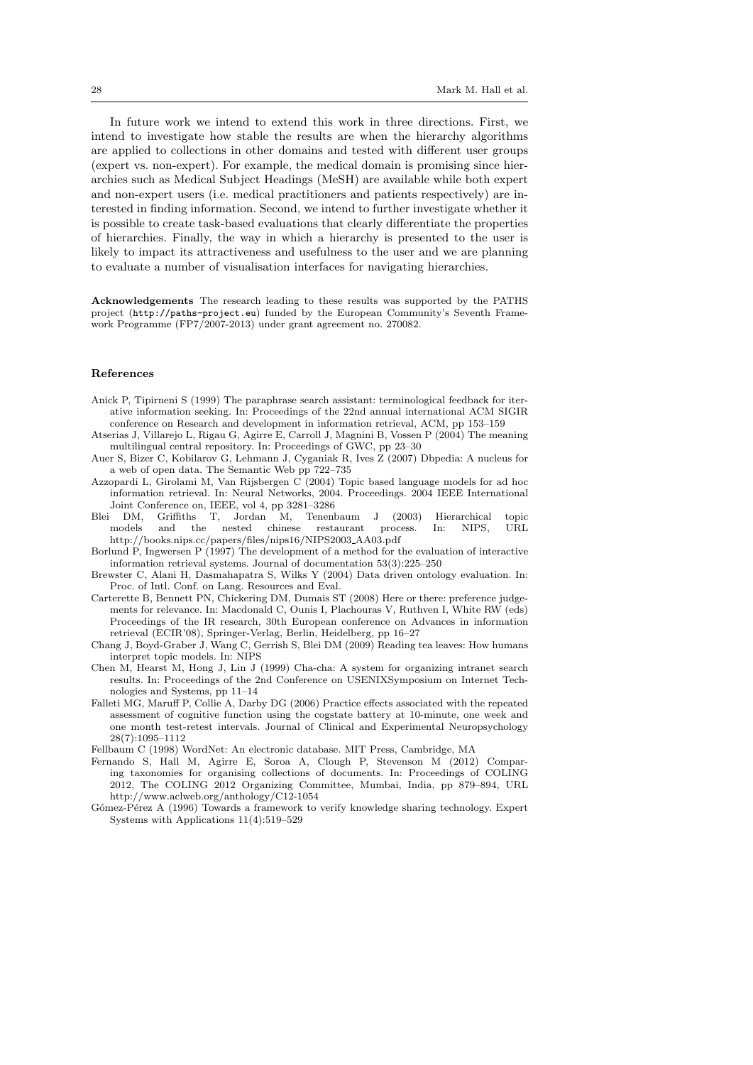In future work we intend to extend this work in three directions. First, we intend to investigate how stable the results are when the hierarchy algorithms are applied to collections in other domains and tested with different user groups (expert vs. non-expert). For example, the medical domain is promising since hierarchies such as Medical Subject Headings (MeSH) are available while both expert and non-expert users (i.e. medical practitioners and patients respectively) are interested in finding information. Second, we intend to further investigate whether it is possible to create task-based evaluations that clearly differentiate the properties of hierarchies. Finally, the way in which a hierarchy is presented to the user is likely to impact its attractiveness and usefulness to the user and we are planning to evaluate a number of visualisation interfaces for navigating hierarchies.

Acknowledgements The research leading to these results was supported by the PATHS project (http://paths-project.eu) funded by the European Community's Seventh Framework Programme (FP7/2007-2013) under grant agreement no. 270082.

#### References

- Anick P, Tipirneni S (1999) The paraphrase search assistant: terminological feedback for iterative information seeking. In: Proceedings of the 22nd annual international ACM SIGIR conference on Research and development in information retrieval, ACM, pp 153–159
- Atserias J, Villarejo L, Rigau G, Agirre E, Carroll J, Magnini B, Vossen P (2004) The meaning multilingual central repository. In: Proceedings of GWC, pp 23–30
- Auer S, Bizer C, Kobilarov G, Lehmann J, Cyganiak R, Ives Z (2007) Dbpedia: A nucleus for a web of open data. The Semantic Web pp 722–735
- Azzopardi L, Girolami M, Van Rijsbergen C (2004) Topic based language models for ad hoc information retrieval. In: Neural Networks, 2004. Proceedings. 2004 IEEE International Joint Conference on, IEEE, vol 4, pp 3281–3286
- Blei DM, Griffiths T, Jordan M, Tenenbaum J (2003) Hierarchical topic models and the nested chinese restaurant process. In: NIPS, URL http://books.nips.cc/papers/files/nips16/NIPS2003 AA03.pdf
- Borlund P, Ingwersen P (1997) The development of a method for the evaluation of interactive information retrieval systems. Journal of documentation 53(3):225–250
- Brewster C, Alani H, Dasmahapatra S, Wilks Y (2004) Data driven ontology evaluation. In: Proc. of Intl. Conf. on Lang. Resources and Eval.
- Carterette B, Bennett PN, Chickering DM, Dumais ST (2008) Here or there: preference judgements for relevance. In: Macdonald C, Ounis I, Plachouras V, Ruthven I, White RW (eds) Proceedings of the IR research, 30th European conference on Advances in information retrieval (ECIR'08), Springer-Verlag, Berlin, Heidelberg, pp 16–27
- Chang J, Boyd-Graber J, Wang C, Gerrish S, Blei DM (2009) Reading tea leaves: How humans interpret topic models. In: NIPS
- Chen M, Hearst M, Hong J, Lin J (1999) Cha-cha: A system for organizing intranet search results. In: Proceedings of the 2nd Conference on USENIXSymposium on Internet Technologies and Systems, pp 11–14
- Falleti MG, Maruff P, Collie A, Darby DG (2006) Practice effects associated with the repeated assessment of cognitive function using the cogstate battery at 10-minute, one week and one month test-retest intervals. Journal of Clinical and Experimental Neuropsychology 28(7):1095–1112
- Fellbaum C (1998) WordNet: An electronic database. MIT Press, Cambridge, MA
- Fernando S, Hall M, Agirre E, Soroa A, Clough P, Stevenson M (2012) Comparing taxonomies for organising collections of documents. In: Proceedings of COLING 2012, The COLING 2012 Organizing Committee, Mumbai, India, pp 879–894, URL http://www.aclweb.org/anthology/C12-1054
- Gómez-Pérez A (1996) Towards a framework to verify knowledge sharing technology. Expert Systems with Applications 11(4):519–529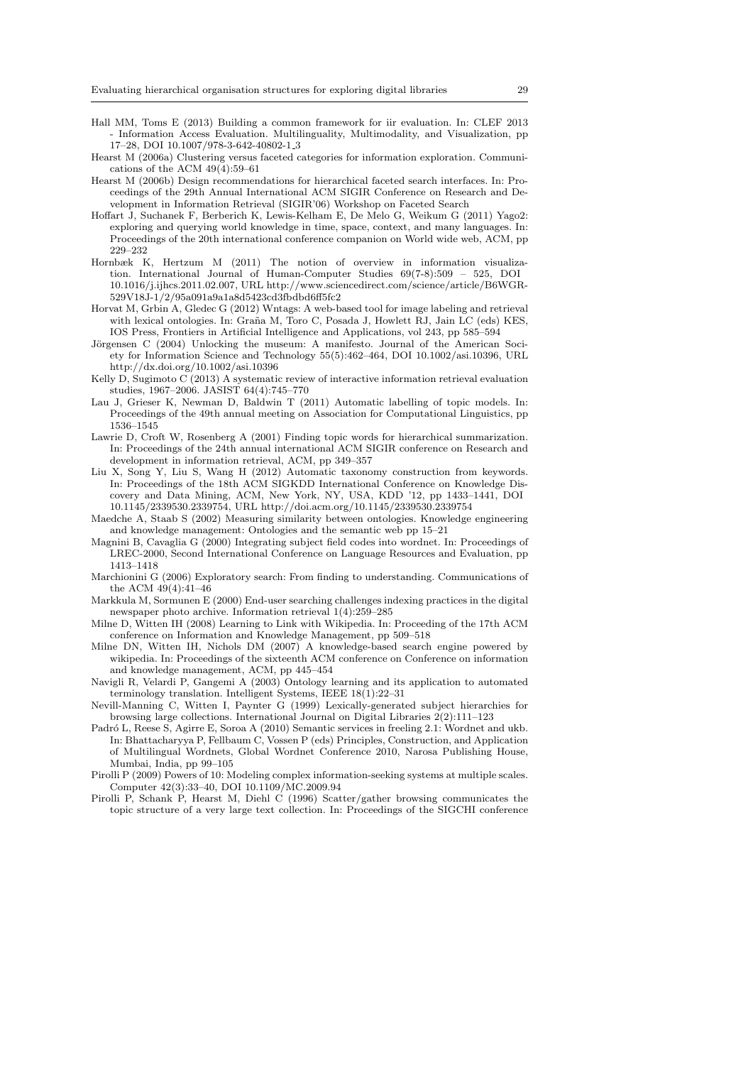- Hall MM, Toms E (2013) Building a common framework for iir evaluation. In: CLEF 2013 - Information Access Evaluation. Multilinguality, Multimodality, and Visualization, pp 17–28, DOI 10.1007/978-3-642-40802-1 3
- Hearst M (2006a) Clustering versus faceted categories for information exploration. Communications of the ACM 49(4):59–61
- Hearst M (2006b) Design recommendations for hierarchical faceted search interfaces. In: Proceedings of the 29th Annual International ACM SIGIR Conference on Research and Development in Information Retrieval (SIGIR'06) Workshop on Faceted Search
- Hoffart J, Suchanek F, Berberich K, Lewis-Kelham E, De Melo G, Weikum G (2011) Yago2: exploring and querying world knowledge in time, space, context, and many languages. In: Proceedings of the 20th international conference companion on World wide web, ACM, pp 229–232
- Hornbæk K, Hertzum M (2011) The notion of overview in information visualization. International Journal of Human-Computer Studies 69(7-8):509 – 525, DOI 10.1016/j.ijhcs.2011.02.007, URL http://www.sciencedirect.com/science/article/B6WGR-529V18J-1/2/95a091a9a1a8d5423cd3fbdbd6ff5fc2
- Horvat M, Grbin A, Gledec G (2012) Wntags: A web-based tool for image labeling and retrieval with lexical ontologies. In: Graña M, Toro C, Posada J, Howlett RJ, Jain LC (eds) KES, IOS Press, Frontiers in Artificial Intelligence and Applications, vol 243, pp 585–594
- Jörgensen C (2004) Unlocking the museum: A manifesto. Journal of the American Society for Information Science and Technology 55(5):462–464, DOI 10.1002/asi.10396, URL http://dx.doi.org/10.1002/asi.10396
- Kelly D, Sugimoto C (2013) A systematic review of interactive information retrieval evaluation studies, 1967–2006. JASIST 64(4):745–770
- Lau J, Grieser K, Newman D, Baldwin T (2011) Automatic labelling of topic models. In: Proceedings of the 49th annual meeting on Association for Computational Linguistics, pp 1536–1545
- Lawrie D, Croft W, Rosenberg A (2001) Finding topic words for hierarchical summarization. In: Proceedings of the 24th annual international ACM SIGIR conference on Research and development in information retrieval, ACM, pp 349–357
- Liu X, Song Y, Liu S, Wang H (2012) Automatic taxonomy construction from keywords. In: Proceedings of the 18th ACM SIGKDD International Conference on Knowledge Discovery and Data Mining, ACM, New York, NY, USA, KDD '12, pp 1433–1441, DOI 10.1145/2339530.2339754, URL http://doi.acm.org/10.1145/2339530.2339754
- Maedche A, Staab S (2002) Measuring similarity between ontologies. Knowledge engineering and knowledge management: Ontologies and the semantic web pp 15–21
- Magnini B, Cavaglia G (2000) Integrating subject field codes into wordnet. In: Proceedings of LREC-2000, Second International Conference on Language Resources and Evaluation, pp 1413–1418
- Marchionini G (2006) Exploratory search: From finding to understanding. Communications of the ACM 49(4):41–46
- Markkula M, Sormunen E (2000) End-user searching challenges indexing practices in the digital newspaper photo archive. Information retrieval 1(4):259–285
- Milne D, Witten IH (2008) Learning to Link with Wikipedia. In: Proceeding of the 17th ACM conference on Information and Knowledge Management, pp 509–518
- Milne DN, Witten IH, Nichols DM (2007) A knowledge-based search engine powered by wikipedia. In: Proceedings of the sixteenth ACM conference on Conference on information and knowledge management, ACM, pp 445–454
- Navigli R, Velardi P, Gangemi A (2003) Ontology learning and its application to automated terminology translation. Intelligent Systems, IEEE 18(1):22–31
- Nevill-Manning C, Witten I, Paynter G (1999) Lexically-generated subject hierarchies for browsing large collections. International Journal on Digital Libraries 2(2):111–123
- Padró L, Reese S, Agirre E, Soroa A (2010) Semantic services in freeling 2.1: Wordnet and ukb. In: Bhattacharyya P, Fellbaum C, Vossen P (eds) Principles, Construction, and Application of Multilingual Wordnets, Global Wordnet Conference 2010, Narosa Publishing House, Mumbai, India, pp 99–105
- Pirolli P (2009) Powers of 10: Modeling complex information-seeking systems at multiple scales. Computer 42(3):33–40, DOI 10.1109/MC.2009.94
- Pirolli P, Schank P, Hearst M, Diehl C (1996) Scatter/gather browsing communicates the topic structure of a very large text collection. In: Proceedings of the SIGCHI conference